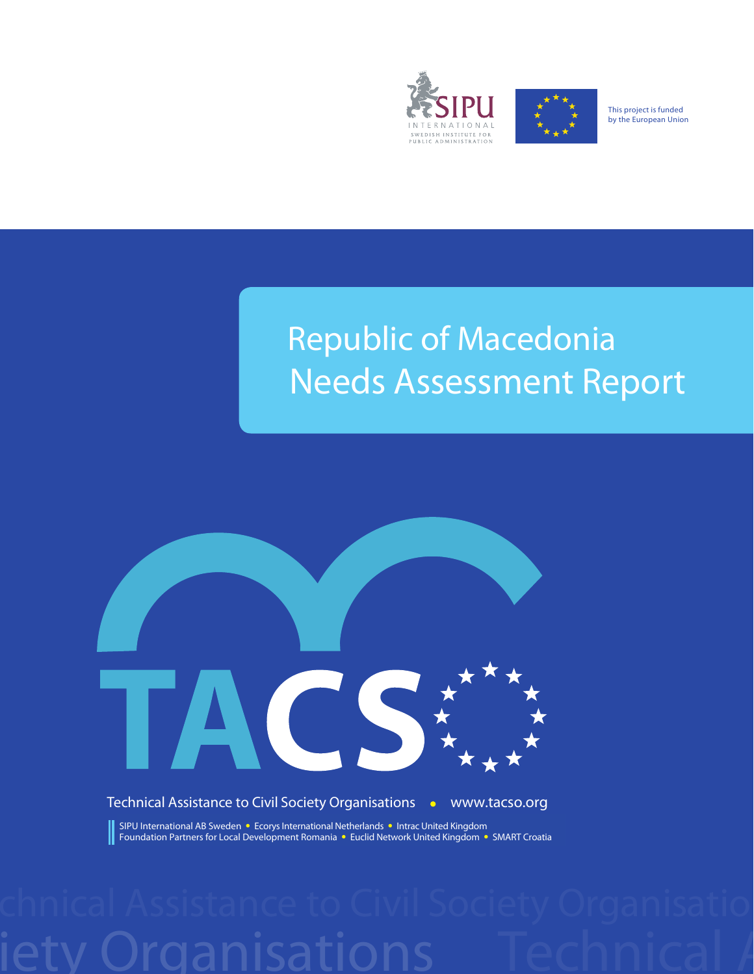



This project is funded by the European Union

# Needs Assessment Report **Republic of Macedonia**



Technical Assistance to Civil Society Organisations • www.tacso.org

SIPU International AB Sweden • Ecorys International Netherlands • Intrac United Kingdom Foundation Partners for Local Development Romania • Euclid Network United Kingdom • SMART Croatia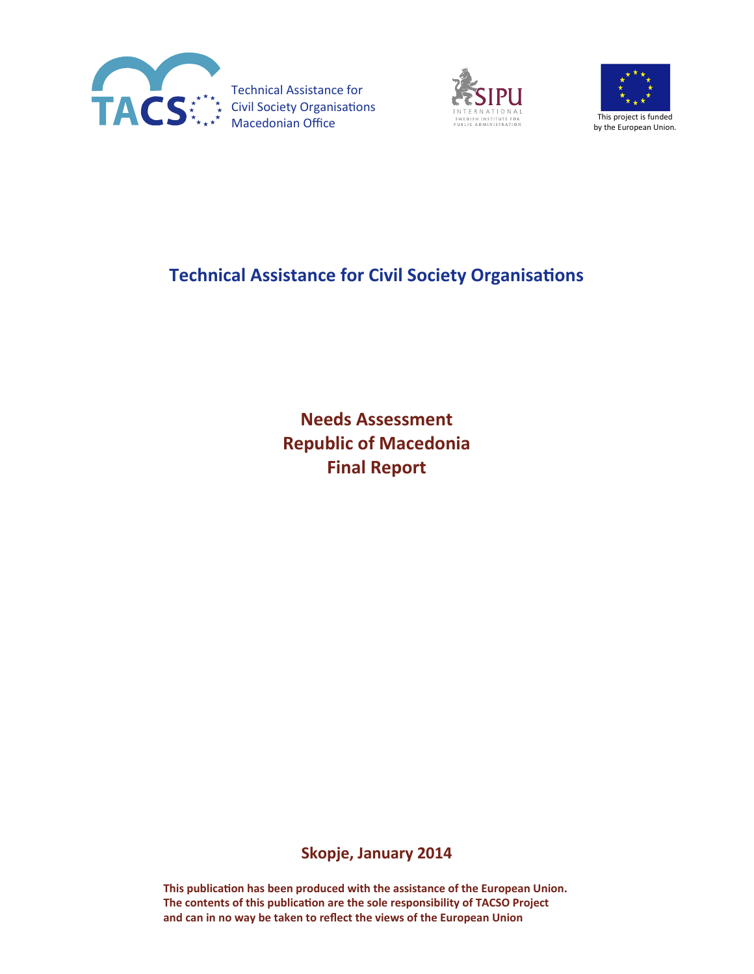

Technical Assistance for Civil Society Organisations Macedonian Office





# **Technical Assistance for Civil Society Organisations**

**Needs Assessment Republic of Macedonia Final Report** 

**Skopje, January 2014** 

**This publication has been produced with the assistance of the European Union. The contents of this publication are the sole responsibility of TACSO Project and can in no way be taken to reflect the views of the European Union**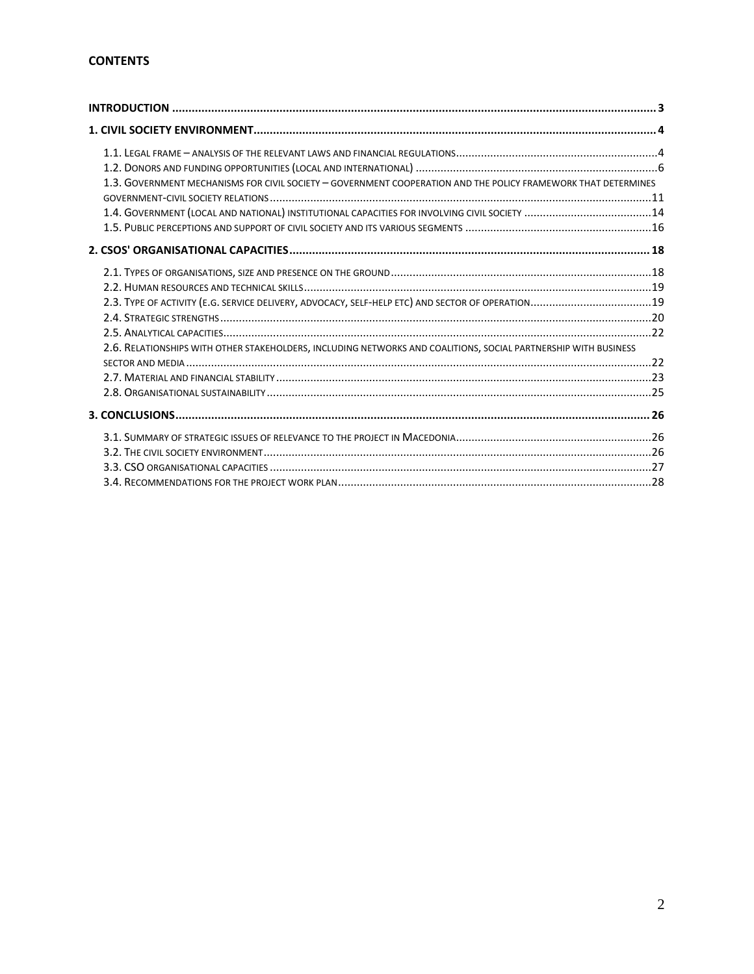# **CONTENTS**

| 1.3. GOVERNMENT MECHANISMS FOR CIVIL SOCIETY - GOVERNMENT COOPERATION AND THE POLICY FRAMEWORK THAT DETERMINES  |  |
|-----------------------------------------------------------------------------------------------------------------|--|
|                                                                                                                 |  |
|                                                                                                                 |  |
|                                                                                                                 |  |
|                                                                                                                 |  |
|                                                                                                                 |  |
|                                                                                                                 |  |
|                                                                                                                 |  |
|                                                                                                                 |  |
|                                                                                                                 |  |
| 2.6. RELATIONSHIPS WITH OTHER STAKEHOLDERS, INCLUDING NETWORKS AND COALITIONS, SOCIAL PARTNERSHIP WITH BUSINESS |  |
|                                                                                                                 |  |
|                                                                                                                 |  |
|                                                                                                                 |  |
|                                                                                                                 |  |
|                                                                                                                 |  |
|                                                                                                                 |  |
|                                                                                                                 |  |
|                                                                                                                 |  |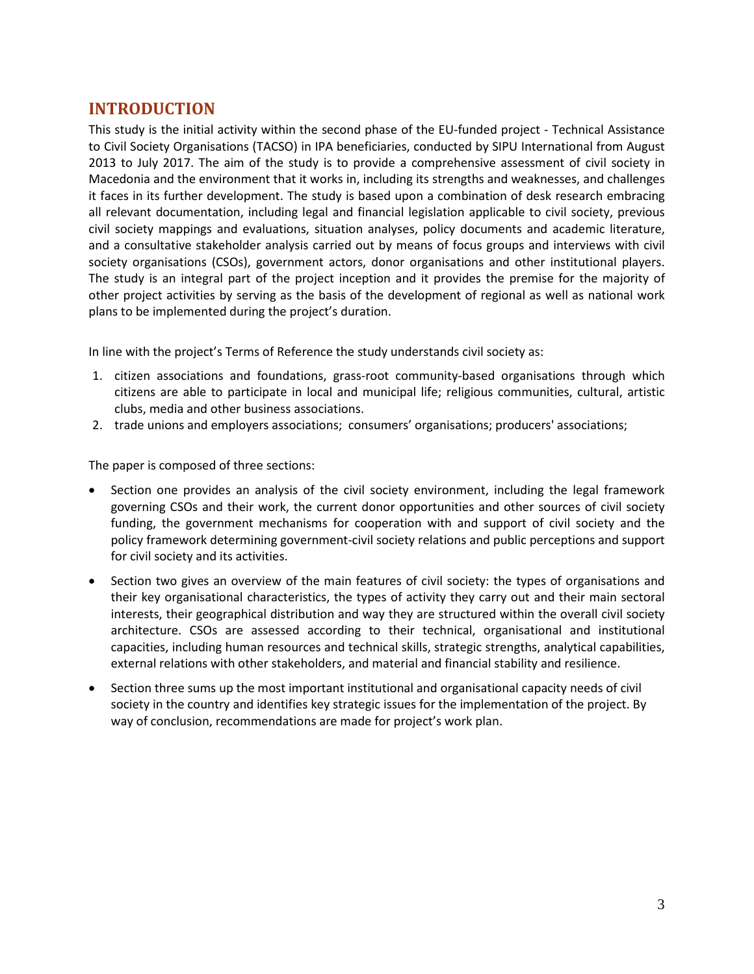# <span id="page-3-0"></span>**INTRODUCTION**

This study is the initial activity within the second phase of the EU-funded project - Technical Assistance to Civil Society Organisations (TACSO) in IPA beneficiaries, conducted by SIPU International from August 2013 to July 2017. The aim of the study is to provide a comprehensive assessment of civil society in Macedonia and the environment that it works in, including its strengths and weaknesses, and challenges it faces in its further development. The study is based upon a combination of desk research embracing all relevant documentation, including legal and financial legislation applicable to civil society, previous civil society mappings and evaluations, situation analyses, policy documents and academic literature, and a consultative stakeholder analysis carried out by means of focus groups and interviews with civil society organisations (CSOs), government actors, donor organisations and other institutional players. The study is an integral part of the project inception and it provides the premise for the majority of other project activities by serving as the basis of the development of regional as well as national work plans to be implemented during the project's duration.

In line with the project's Terms of Reference the study understands civil society as:

- 1. citizen associations and foundations, grass-root community-based organisations through which citizens are able to participate in local and municipal life; religious communities, cultural, artistic clubs, media and other business associations.
- 2. trade unions and employers associations; consumers' organisations; producers' associations;

The paper is composed of three sections:

- Section one provides an analysis of the civil society environment, including the legal framework governing CSOs and their work, the current donor opportunities and other sources of civil society funding, the government mechanisms for cooperation with and support of civil society and the policy framework determining government-civil society relations and public perceptions and support for civil society and its activities.
- Section two gives an overview of the main features of civil society: the types of organisations and their key organisational characteristics, the types of activity they carry out and their main sectoral interests, their geographical distribution and way they are structured within the overall civil society architecture. CSOs are assessed according to their technical, organisational and institutional capacities, including human resources and technical skills, strategic strengths, analytical capabilities, external relations with other stakeholders, and material and financial stability and resilience.
- Section three sums up the most important institutional and organisational capacity needs of civil society in the country and identifies key strategic issues for the implementation of the project. By way of conclusion, recommendations are made for project's work plan.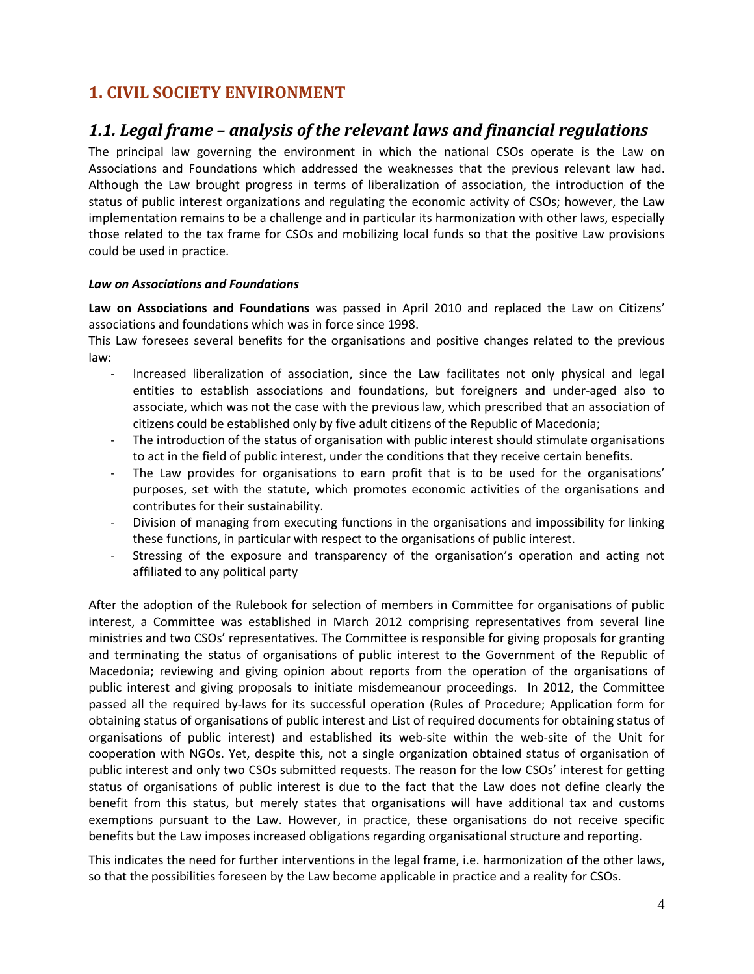# <span id="page-4-0"></span>**1. CIVIL SOCIETY ENVIRONMENT**

# <span id="page-4-1"></span>*1.1. Legal frame – analysis of the relevant laws and financial regulations*

The principal law governing the environment in which the national CSOs operate is the Law on Associations and Foundations which addressed the weaknesses that the previous relevant law had. Although the Law brought progress in terms of liberalization of association, the introduction of the status of public interest organizations and regulating the economic activity of CSOs; however, the Law implementation remains to be a challenge and in particular its harmonization with other laws, especially those related to the tax frame for CSOs and mobilizing local funds so that the positive Law provisions could be used in practice.

#### *Law on Associations and Foundations*

**Law on Associations and Foundations** was passed in April 2010 and replaced the Law on Citizens' associations and foundations which was in force since 1998.

This Law foresees several benefits for the organisations and positive changes related to the previous law:

- Increased liberalization of association, since the Law facilitates not only physical and legal entities to establish associations and foundations, but foreigners and under-aged also to associate, which was not the case with the previous law, which prescribed that an association of citizens could be established only by five adult citizens of the Republic of Macedonia;
- The introduction of the status of organisation with public interest should stimulate organisations to act in the field of public interest, under the conditions that they receive certain benefits.
- The Law provides for organisations to earn profit that is to be used for the organisations' purposes, set with the statute, which promotes economic activities of the organisations and contributes for their sustainability.
- Division of managing from executing functions in the organisations and impossibility for linking these functions, in particular with respect to the organisations of public interest.
- Stressing of the exposure and transparency of the organisation's operation and acting not affiliated to any political party

After the adoption of the Rulebook for selection of members in Committee for organisations of public interest, a Committee was established in March 2012 comprising representatives from several line ministries and two CSOs' representatives. The Committee is responsible for giving proposals for granting and terminating the status of organisations of public interest to the Government of the Republic of Macedonia; reviewing and giving opinion about reports from the operation of the organisations of public interest and giving proposals to initiate misdemeanour proceedings. In 2012, the Committee passed all the required by-laws for its successful operation (Rules of Procedure; Application form for obtaining status of organisations of public interest and List of required documents for obtaining status of organisations of public interest) and established its web-site within the web-site of the Unit for cooperation with NGOs. Yet, despite this, not a single organization obtained status of organisation of public interest and only two CSOs submitted requests. The reason for the low CSOs' interest for getting status of organisations of public interest is due to the fact that the Law does not define clearly the benefit from this status, but merely states that organisations will have additional tax and customs exemptions pursuant to the Law. However, in practice, these organisations do not receive specific benefits but the Law imposes increased obligations regarding organisational structure and reporting.

This indicates the need for further interventions in the legal frame, i.e. harmonization of the other laws, so that the possibilities foreseen by the Law become applicable in practice and a reality for CSOs.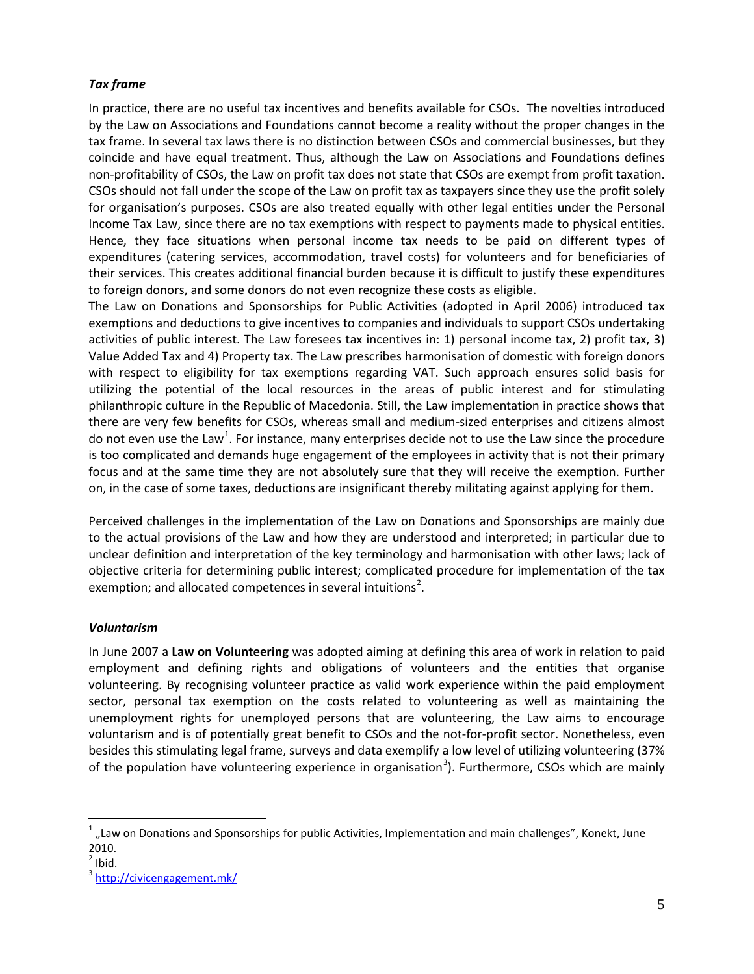# *Tax frame*

In practice, there are no useful tax incentives and benefits available for CSOs. The novelties introduced by the Law on Associations and Foundations cannot become a reality without the proper changes in the tax frame. In several tax laws there is no distinction between CSOs and commercial businesses, but they coincide and have equal treatment. Thus, although the Law on Associations and Foundations defines non-profitability of CSOs, the Law on profit tax does not state that CSOs are exempt from profit taxation. CSOs should not fall under the scope of the Law on profit tax as taxpayers since they use the profit solely for organisation's purposes. CSOs are also treated equally with other legal entities under the Personal Income Tax Law, since there are no tax exemptions with respect to payments made to physical entities. Hence, they face situations when personal income tax needs to be paid on different types of expenditures (catering services, accommodation, travel costs) for volunteers and for beneficiaries of their services. This creates additional financial burden because it is difficult to justify these expenditures to foreign donors, and some donors do not even recognize these costs as eligible.

The Law on Donations and Sponsorships for Public Activities (adopted in April 2006) introduced tax exemptions and deductions to give incentives to companies and individuals to support CSOs undertaking activities of public interest. The Law foresees tax incentives in: 1) personal income tax, 2) profit tax, 3) Value Added Tax and 4) Property tax. The Law prescribes harmonisation of domestic with foreign donors with respect to eligibility for tax exemptions regarding VAT. Such approach ensures solid basis for utilizing the potential of the local resources in the areas of public interest and for stimulating philanthropic culture in the Republic of Macedonia. Still, the Law implementation in practice shows that there are very few benefits for CSOs, whereas small and medium-sized enterprises and citizens almost do not even use the Law<sup>[1](#page-5-0)</sup>. For instance, many enterprises decide not to use the Law since the procedure is too complicated and demands huge engagement of the employees in activity that is not their primary focus and at the same time they are not absolutely sure that they will receive the exemption. Further on, in the case of some taxes, deductions are insignificant thereby militating against applying for them.

Perceived challenges in the implementation of the Law on Donations and Sponsorships are mainly due to the actual provisions of the Law and how they are understood and interpreted; in particular due to unclear definition and interpretation of the key terminology and harmonisation with other laws; lack of objective criteria for determining public interest; complicated procedure for implementation of the tax exemption; and allocated competences in several intuitions<sup>[2](#page-5-1)</sup>.

#### *Voluntarism*

In June 2007 a **Law on Volunteering** was adopted aiming at defining this area of work in relation to paid employment and defining rights and obligations of volunteers and the entities that organise volunteering. By recognising volunteer practice as valid work experience within the paid employment sector, personal tax exemption on the costs related to volunteering as well as maintaining the unemployment rights for unemployed persons that are volunteering, the Law aims to encourage voluntarism and is of potentially great benefit to CSOs and the not-for-profit sector. Nonetheless, even besides this stimulating legal frame, surveys and data exemplify a low level of utilizing volunteering (37% of the population have volunteering experience in organisation<sup>[3](#page-5-2)</sup>). Furthermore, CSOs which are mainly

<span id="page-5-0"></span> $1$  "Law on Donations and Sponsorships for public Activities, Implementation and main challenges", Konekt, June 2010.<br> $\frac{2}{1}$ lbid.

<span id="page-5-2"></span><span id="page-5-1"></span>

<sup>&</sup>lt;sup>3</sup> <http://civicengagement.mk/>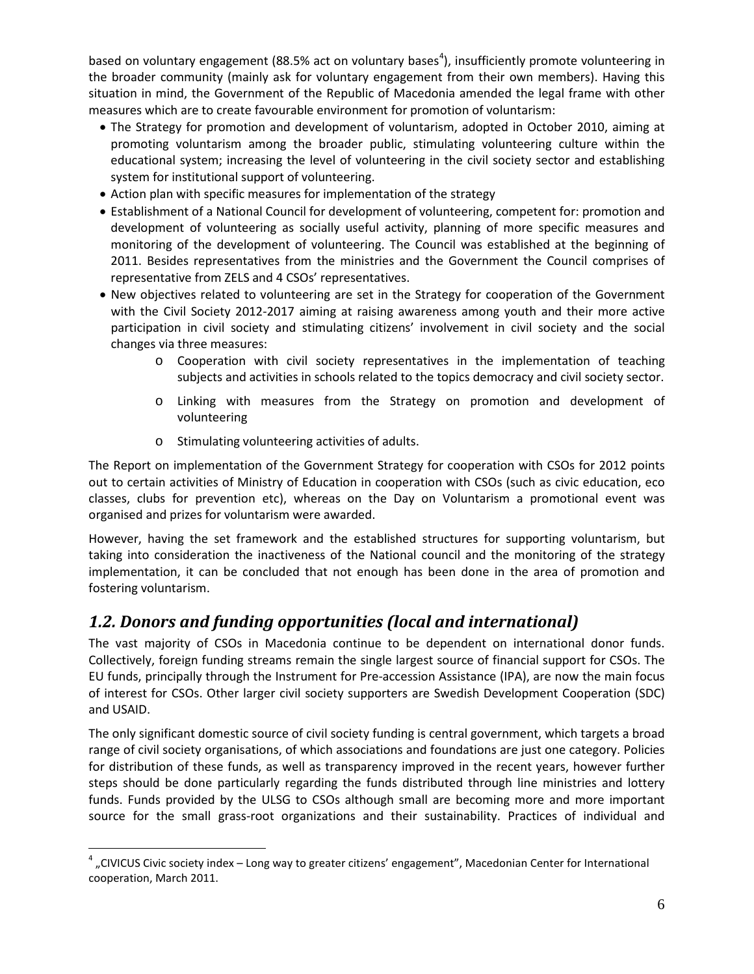based on voluntary engagement (88.5% act on voluntary bases<sup>[4](#page-6-1)</sup>), insufficiently promote volunteering in the broader community (mainly ask for voluntary engagement from their own members). Having this situation in mind, the Government of the Republic of Macedonia amended the legal frame with other measures which are to create favourable environment for promotion of voluntarism:

- The Strategy for promotion and development of voluntarism, adopted in October 2010, aiming at promoting voluntarism among the broader public, stimulating volunteering culture within the educational system; increasing the level of volunteering in the civil society sector and establishing system for institutional support of volunteering.
- Action plan with specific measures for implementation of the strategy
- Establishment of a National Council for development of volunteering, competent for: promotion and development of volunteering as socially useful activity, planning of more specific measures and monitoring of the development of volunteering. The Council was established at the beginning of 2011. Besides representatives from the ministries and the Government the Council comprises of representative from ZELS and 4 CSOs' representatives.
- New objectives related to volunteering are set in the Strategy for cooperation of the Government with the Civil Society 2012-2017 aiming at raising awareness among youth and their more active participation in civil society and stimulating citizens' involvement in civil society and the social changes via three measures:
	- o Cooperation with civil society representatives in the implementation of teaching subjects and activities in schools related to the topics democracy and civil society sector.
	- o Linking with measures from the Strategy on promotion and development of volunteering
	- o Stimulating volunteering activities of adults.

The Report on implementation of the Government Strategy for cooperation with CSOs for 2012 points out to certain activities of Ministry of Education in cooperation with CSOs (such as civic education, eco classes, clubs for prevention etc), whereas on the Day on Voluntarism a promotional event was organised and prizes for voluntarism were awarded.

However, having the set framework and the established structures for supporting voluntarism, but taking into consideration the inactiveness of the National council and the monitoring of the strategy implementation, it can be concluded that not enough has been done in the area of promotion and fostering voluntarism.

# <span id="page-6-0"></span>*1.2. Donors and funding opportunities (local and international)*

The vast majority of CSOs in Macedonia continue to be dependent on international donor funds. Collectively, foreign funding streams remain the single largest source of financial support for CSOs. The EU funds, principally through the Instrument for Pre-accession Assistance (IPA), are now the main focus of interest for CSOs. Other larger civil society supporters are Swedish Development Cooperation (SDC) and USAID.

The only significant domestic source of civil society funding is central government, which targets a broad range of civil society organisations, of which associations and foundations are just one category. Policies for distribution of these funds, as well as transparency improved in the recent years, however further steps should be done particularly regarding the funds distributed through line ministries and lottery funds. Funds provided by the ULSG to CSOs although small are becoming more and more important source for the small grass-root organizations and their sustainability. Practices of individual and

<span id="page-6-1"></span> $4$  "CIVICUS Civic society index - Long way to greater citizens' engagement", Macedonian Center for International cooperation, March 2011.  $\overline{a}$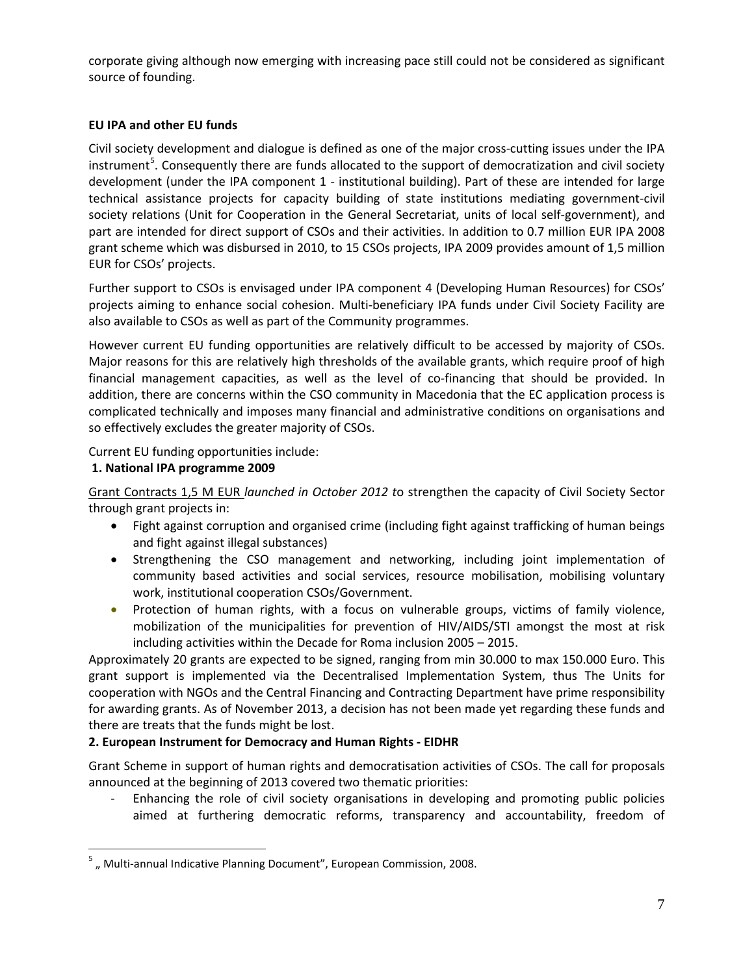corporate giving although now emerging with increasing pace still could not be considered as significant source of founding.

#### **EU IPA and other EU funds**

Civil society development and dialogue is defined as one of the major cross-cutting issues under the IPA instrument<sup>[5](#page-7-0)</sup>. Consequently there are funds allocated to the support of democratization and civil society development (under the IPA component 1 - institutional building). Part of these are intended for large technical assistance projects for capacity building of state institutions mediating government-civil society relations (Unit for Cooperation in the General Secretariat, units of local self-government), and part are intended for direct support of CSOs and their activities. In addition to 0.7 million EUR IPA 2008 grant scheme which was disbursed in 2010, to 15 CSOs projects, IPA 2009 provides amount of 1,5 million EUR for CSOs' projects.

Further support to CSOs is envisaged under IPA component 4 (Developing Human Resources) for CSOs' projects aiming to enhance social cohesion. Multi-beneficiary IPA funds under Civil Society Facility are also available to CSOs as well as part of the Community programmes.

However current EU funding opportunities are relatively difficult to be accessed by majority of CSOs. Major reasons for this are relatively high thresholds of the available grants, which require proof of high financial management capacities, as well as the level of co-financing that should be provided. In addition, there are concerns within the CSO community in Macedonia that the EC application process is complicated technically and imposes many financial and administrative conditions on organisations and so effectively excludes the greater majority of CSOs.

Current EU funding opportunities include:

#### **1. National IPA programme 2009**

 $\overline{a}$ 

Grant Contracts 1,5 M EUR *launched in October 2012 t*o strengthen the capacity of Civil Society Sector through grant projects in:

- Fight against corruption and organised crime (including fight against trafficking of human beings and fight against illegal substances)
- Strengthening the CSO management and networking, including joint implementation of community based activities and social services, resource mobilisation, mobilising voluntary work, institutional cooperation CSOs/Government.
- Protection of human rights, with a focus on vulnerable groups, victims of family violence, mobilization of the municipalities for prevention of HIV/AIDS/STI amongst the most at risk including activities within the Decade for Roma inclusion 2005 – 2015.

Approximately 20 grants are expected to be signed, ranging from min 30.000 to max 150.000 Euro. This grant support is implemented via the Decentralised Implementation System, thus The Units for cooperation with NGOs and the Central Financing and Contracting Department have prime responsibility for awarding grants. As of November 2013, a decision has not been made yet regarding these funds and there are treats that the funds might be lost.

# **2. European Instrument for Democracy and Human Rights - EIDHR**

Grant Scheme in support of human rights and democratisation activities of CSOs. The call for proposals announced at the beginning of 2013 covered two thematic priorities:

- Enhancing the role of civil society organisations in developing and promoting public policies aimed at furthering democratic reforms, transparency and accountability, freedom of

<span id="page-7-0"></span> $<sup>5</sup>$  ,, Multi-annual Indicative Planning Document", European Commission, 2008.</sup>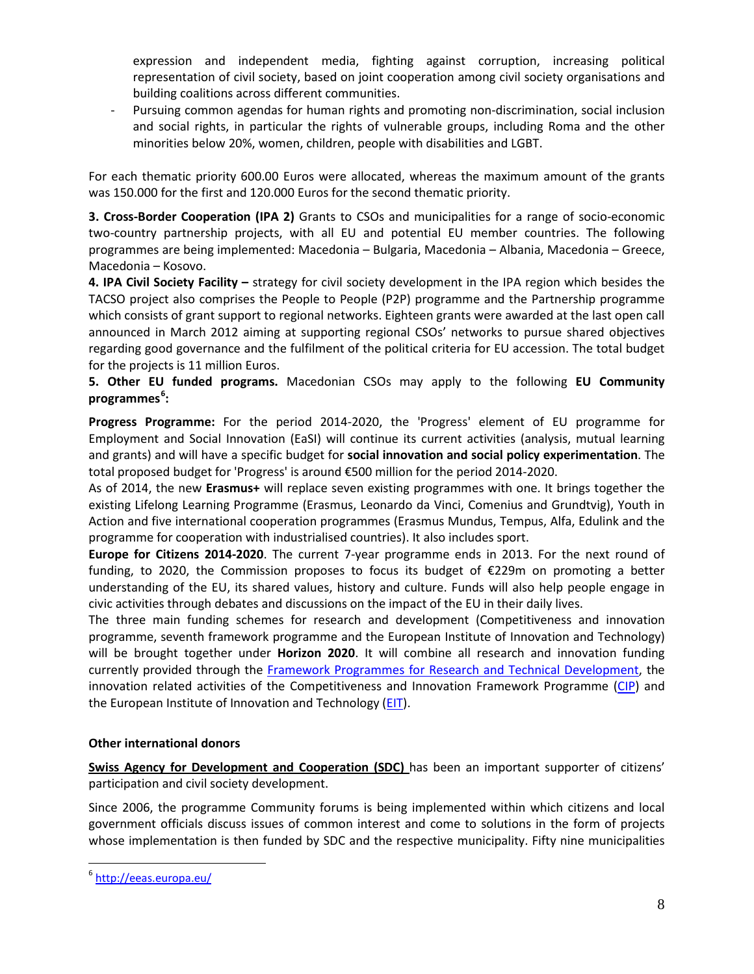expression and independent media, fighting against corruption, increasing political representation of civil society, based on joint cooperation among civil society organisations and building coalitions across different communities.

- Pursuing common agendas for human rights and promoting non-discrimination, social inclusion and social rights, in particular the rights of vulnerable groups, including Roma and the other minorities below 20%, women, children, people with disabilities and LGBT.

For each thematic priority 600.00 Euros were allocated, whereas the maximum amount of the grants was 150.000 for the first and 120.000 Euros for the second thematic priority.

**3. Cross-Border Cooperation (IPA 2)** Grants to CSOs and municipalities for a range of socio-economic two-country partnership projects, with all EU and potential EU member countries. The following programmes are being implemented: Macedonia – Bulgaria, Macedonia – Albania, Macedonia – Greece, Macedonia – Kosovo.

**4. IPA Civil Society Facility –** strategy for civil society development in the IPA region which besides the TACSO project also comprises the People to People (P2P) programme and the Partnership programme which consists of grant support to regional networks. Eighteen grants were awarded at the last open call announced in March 2012 aiming at supporting regional CSOs' networks to pursue shared objectives regarding good governance and the fulfilment of the political criteria for EU accession. The total budget for the projects is 11 million Euros.

**5. Other EU funded programs.** Macedonian CSOs may apply to the following **EU Community programmes[6](#page-8-0) :**

**Progress Programme:** For the period 2014-2020, the 'Progress' element of EU programme for Employment and Social Innovation (EaSI) will continue its current activities (analysis, mutual learning and grants) and will have a specific budget for **social innovation and social policy experimentation**. The total proposed budget for 'Progress' is around €500 million for the period 2014-2020.

As of 2014, the new **Erasmus+** will replace seven existing programmes with one. It brings together the existing Lifelong Learning Programme (Erasmus, Leonardo da Vinci, Comenius and Grundtvig), Youth in Action and five international cooperation programmes (Erasmus Mundus, Tempus, Alfa, Edulink and the programme for cooperation with industrialised countries). It also includes sport.

**Europe for Citizens 2014-2020**. The current 7-year programme ends in 2013. For the next round of funding, to 2020, the Commission proposes to focus its budget of €229m on promoting a better understanding of the EU, its shared values, history and culture. Funds will also help people engage in civic activities through debates and discussions on the impact of the EU in their daily lives.

The three main funding schemes for research and development (Competitiveness and innovation programme, seventh framework programme and the European Institute of Innovation and Technology) will be brought together under **Horizon 2020**. It will combine all research and innovation funding currently provided through the [Framework Programmes for Research and Technical Development,](http://cordis.europa.eu/fp7/home_en.html) the innovation related activities of the Competitiveness and Innovation Framework Programme [\(CIP\)](http://ec.europa.eu/cip/) and the European Institute of Innovation and Technology [\(EIT\)](http://eit.europa.eu/).

# **Other international donors**

**Swiss Agency for Development and Cooperation (SDC)** has been an important supporter of citizens' participation and civil society development.

Since 2006, the programme Community forums is being implemented within which citizens and local government officials discuss issues of common interest and come to solutions in the form of projects whose implementation is then funded by SDC and the respective municipality. Fifty nine municipalities

<span id="page-8-0"></span><sup>&</sup>lt;sup>6</sup> <http://eeas.europa.eu/>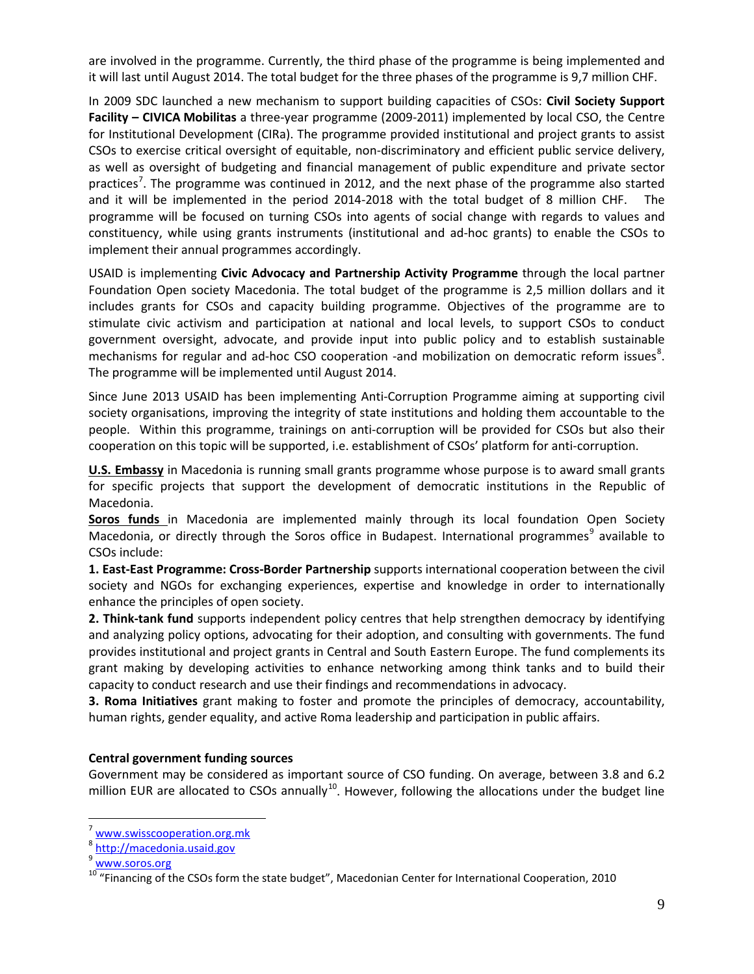are involved in the programme. Currently, the third phase of the programme is being implemented and it will last until August 2014. The total budget for the three phases of the programme is 9,7 million CHF.

In 2009 SDC launched a new mechanism to support building capacities of CSOs: **Civil Society Support Facility – CIVICA Mobilitas** a three-year programme (2009-2011) implemented by local CSO, the Centre for Institutional Development (CIRa). The programme provided institutional and project grants to assist CSOs to exercise critical oversight of equitable, non-discriminatory and efficient public service delivery, as well as oversight of budgeting and financial management of public expenditure and private sector practices<sup>[7](#page-9-0)</sup>. The programme was continued in 2012, and the next phase of the programme also started and it will be implemented in the period 2014-2018 with the total budget of 8 million CHF. The programme will be focused on turning CSOs into agents of social change with regards to values and constituency, while using grants instruments (institutional and ad-hoc grants) to enable the CSOs to implement their annual programmes accordingly.

USAID is implementing **Civic Advocacy and Partnership Activity Programme** through the local partner Foundation Open society Macedonia. The total budget of the programme is 2,5 million dollars and it includes grants for CSOs and capacity building programme. Objectives of the programme are to stimulate civic activism and participation at national and local levels, to support CSOs to conduct government oversight, advocate, and provide input into public policy and to establish sustainable mechanisms for regular and ad-hoc CSO cooperation -and mobilization on democratic reform issues $^{8}$  $^{8}$  $^{8}$ . The programme will be implemented until August 2014.

Since June 2013 USAID has been implementing Anti-Corruption Programme aiming at supporting civil society organisations, improving the integrity of state institutions and holding them accountable to the people. Within this programme, trainings on anti-corruption will be provided for CSOs but also their cooperation on this topic will be supported, i.e. establishment of CSOs' platform for anti-corruption.

**U.S. Embassy** in Macedonia is running small grants programme whose purpose is to award small grants for specific projects that support the development of democratic institutions in the Republic of Macedonia.

**Soros funds** in Macedonia are implemented mainly through its local foundation Open Society Macedonia, or directly through the Soros office in Budapest. International programmes<sup>[9](#page-9-0)</sup> available to CSOs include:

**1. East-East Programme: Cross-Border Partnership** supports international cooperation between the civil society and NGOs for exchanging experiences, expertise and knowledge in order to internationally enhance the principles of open society.

**2. Think-tank fund** supports independent policy centres that help strengthen democracy by identifying and analyzing policy options, advocating for their adoption, and consulting with governments. The fund provides institutional and project grants in Central and South Eastern Europe. The fund complements its grant making by developing activities to enhance networking among think tanks and to build their capacity to conduct research and use their findings and recommendations in advocacy.

**3. Roma Initiatives** grant making to foster and promote the principles of democracy, accountability, human rights, gender equality, and active Roma leadership and participation in public affairs.

#### **Central government funding sources**

Government may be considered as important source of CSO funding. On average, between 3.8 and 6.2 million EUR are allocated to CSOs annually<sup>10</sup>. However, following the allocations under the budget line

<span id="page-9-0"></span><sup>&</sup>lt;sup>7</sup> <u>[www.swisscooperation.org.mk](http://www.swisscooperation.org.mk/)</u><br><sup>8</sup> <u>[http://macedonia.usaid.gov](http://macedonia.usaid.gov/)</u><br><sup>9</sup> [www.soros.org](http://www.soros.org/)

<sup>&</sup>lt;sup>10</sup> "Financing of the CSOs form the state budget", Macedonian Center for International Cooperation, 2010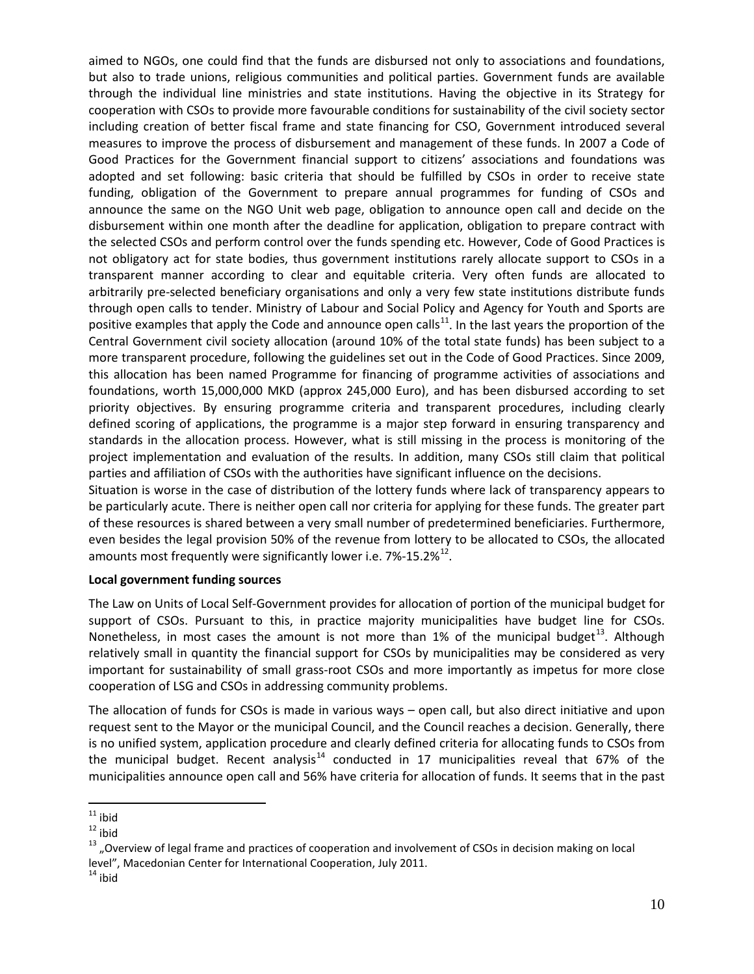aimed to NGOs, one could find that the funds are disbursed not only to associations and foundations, but also to trade unions, religious communities and political parties. Government funds are available through the individual line ministries and state institutions. Having the objective in its Strategy for cooperation with CSOs to provide more favourable conditions for sustainability of the civil society sector including creation of better fiscal frame and state financing for CSO, Government introduced several measures to improve the process of disbursement and management of these funds. In 2007 a Code of Good Practices for the Government financial support to citizens' associations and foundations was adopted and set following: basic criteria that should be fulfilled by CSOs in order to receive state funding, obligation of the Government to prepare annual programmes for funding of CSOs and announce the same on the NGO Unit web page, obligation to announce open call and decide on the disbursement within one month after the deadline for application, obligation to prepare contract with the selected CSOs and perform control over the funds spending etc. However, Code of Good Practices is not obligatory act for state bodies, thus government institutions rarely allocate support to CSOs in a transparent manner according to clear and equitable criteria. Very often funds are allocated to arbitrarily pre-selected beneficiary organisations and only a very few state institutions distribute funds through open calls to tender. Ministry of Labour and Social Policy and Agency for Youth and Sports are positive examples that apply the Code and announce open calls<sup>11</sup>. In the last years the proportion of the Central Government civil society allocation (around 10% of the total state funds) has been subject to a more transparent procedure, following the guidelines set out in the Code of Good Practices. Since 2009, this allocation has been named Programme for financing of programme activities of associations and foundations, worth 15,000,000 MKD (approx 245,000 Euro), and has been disbursed according to set priority objectives. By ensuring programme criteria and transparent procedures, including clearly defined scoring of applications, the programme is a major step forward in ensuring transparency and standards in the allocation process. However, what is still missing in the process is monitoring of the project implementation and evaluation of the results. In addition, many CSOs still claim that political parties and affiliation of CSOs with the authorities have significant influence on the decisions.

Situation is worse in the case of distribution of the lottery funds where lack of transparency appears to be particularly acute. There is neither open call nor criteria for applying for these funds. The greater part of these resources is shared between a very small number of predetermined beneficiaries. Furthermore, even besides the legal provision 50% of the revenue from lottery to be allocated to CSOs, the allocated amounts most frequently were significantly lower i.e.  $7\frac{1}{2}$ .  $2\frac{12}{1}$ .

#### **Local government funding sources**

The Law on Units of Local Self-Government provides for allocation of portion of the municipal budget for support of CSOs. Pursuant to this, in practice majority municipalities have budget line for CSOs. Nonetheless, in most cases the amount is not more than 1% of the municipal budget<sup>[13](#page-10-0)</sup>. Although relatively small in quantity the financial support for CSOs by municipalities may be considered as very important for sustainability of small grass-root CSOs and more importantly as impetus for more close cooperation of LSG and CSOs in addressing community problems.

The allocation of funds for CSOs is made in various ways – open call, but also direct initiative and upon request sent to the Mayor or the municipal Council, and the Council reaches a decision. Generally, there is no unified system, application procedure and clearly defined criteria for allocating funds to CSOs from the municipal budget. Recent analysis<sup>[14](#page-10-0)</sup> conducted in 17 municipalities reveal that 67% of the municipalities announce open call and 56% have criteria for allocation of funds. It seems that in the past

 $11$  ibid

<span id="page-10-0"></span><sup>12</sup> ibid<br><sup>12</sup> ibid<br><sup>13</sup> "Overview of legal frame and practices of cooperation and involvement of CSOs in decision making on local level", Macedonian Center for International Cooperation, July 2011.<br><sup>14</sup> ibid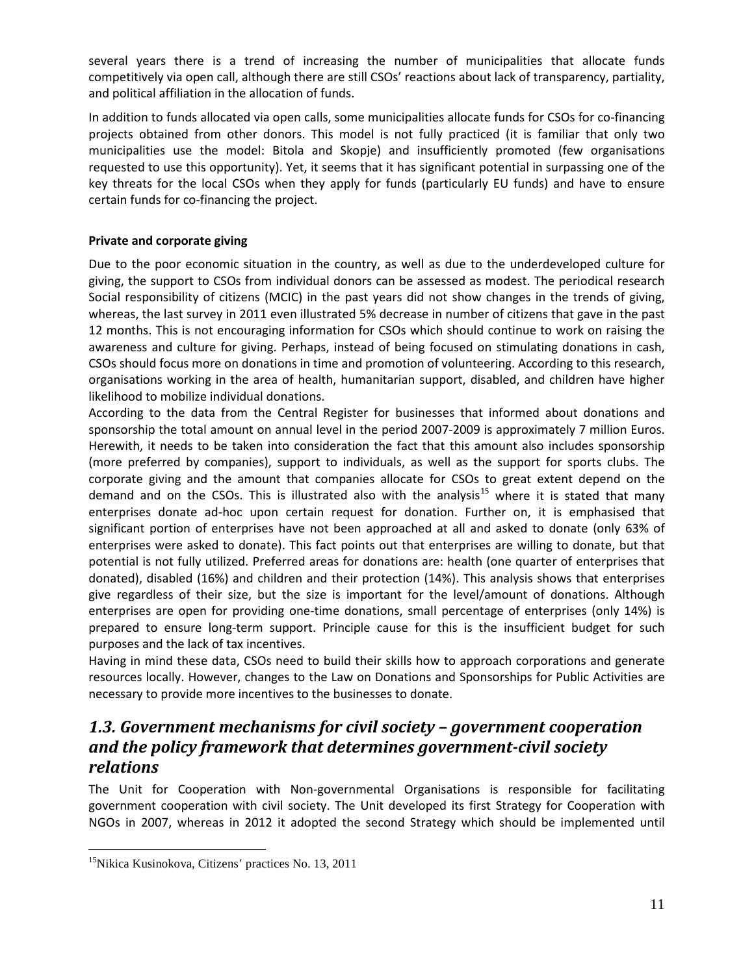several years there is a trend of increasing the number of municipalities that allocate funds competitively via open call, although there are still CSOs' reactions about lack of transparency, partiality, and political affiliation in the allocation of funds.

In addition to funds allocated via open calls, some municipalities allocate funds for CSOs for co-financing projects obtained from other donors. This model is not fully practiced (it is familiar that only two municipalities use the model: Bitola and Skopje) and insufficiently promoted (few organisations requested to use this opportunity). Yet, it seems that it has significant potential in surpassing one of the key threats for the local CSOs when they apply for funds (particularly EU funds) and have to ensure certain funds for co-financing the project.

#### **Private and corporate giving**

Due to the poor economic situation in the country, as well as due to the underdeveloped culture for giving, the support to CSOs from individual donors can be assessed as modest. The periodical research Social responsibility of citizens (MCIC) in the past years did not show changes in the trends of giving, whereas, the last survey in 2011 even illustrated 5% decrease in number of citizens that gave in the past 12 months. This is not encouraging information for CSOs which should continue to work on raising the awareness and culture for giving. Perhaps, instead of being focused on stimulating donations in cash, CSOs should focus more on donations in time and promotion of volunteering. According to this research, organisations working in the area of health, humanitarian support, disabled, and children have higher likelihood to mobilize individual donations.

According to the data from the Central Register for businesses that informed about donations and sponsorship the total amount on annual level in the period 2007-2009 is approximately 7 million Euros. Herewith, it needs to be taken into consideration the fact that this amount also includes sponsorship (more preferred by companies), support to individuals, as well as the support for sports clubs. The corporate giving and the amount that companies allocate for CSOs to great extent depend on the demand and on the CSOs. This is illustrated also with the analysis<sup>[15](#page-11-1)</sup> where it is stated that many enterprises donate ad-hoc upon certain request for donation. Further on, it is emphasised that significant portion of enterprises have not been approached at all and asked to donate (only 63% of enterprises were asked to donate). This fact points out that enterprises are willing to donate, but that potential is not fully utilized. Preferred areas for donations are: health (one quarter of enterprises that donated), disabled (16%) and children and their protection (14%). This analysis shows that enterprises give regardless of their size, but the size is important for the level/amount of donations. Although enterprises are open for providing one-time donations, small percentage of enterprises (only 14%) is prepared to ensure long-term support. Principle cause for this is the insufficient budget for such purposes and the lack of tax incentives.

Having in mind these data, CSOs need to build their skills how to approach corporations and generate resources locally. However, changes to the Law on Donations and Sponsorships for Public Activities are necessary to provide more incentives to the businesses to donate.

# <span id="page-11-0"></span>*1.3. Government mechanisms for civil society – government cooperation and the policy framework that determines government-civil society relations*

The Unit for Cooperation with Non-governmental Organisations is responsible for facilitating government cooperation with civil society. The Unit developed its first Strategy for Cooperation with NGOs in 2007, whereas in 2012 it adopted the second Strategy which should be implemented until

<span id="page-11-1"></span><sup>&</sup>lt;sup>15</sup>Nikica Kusinokova, Citizens' practices No. 13, 2011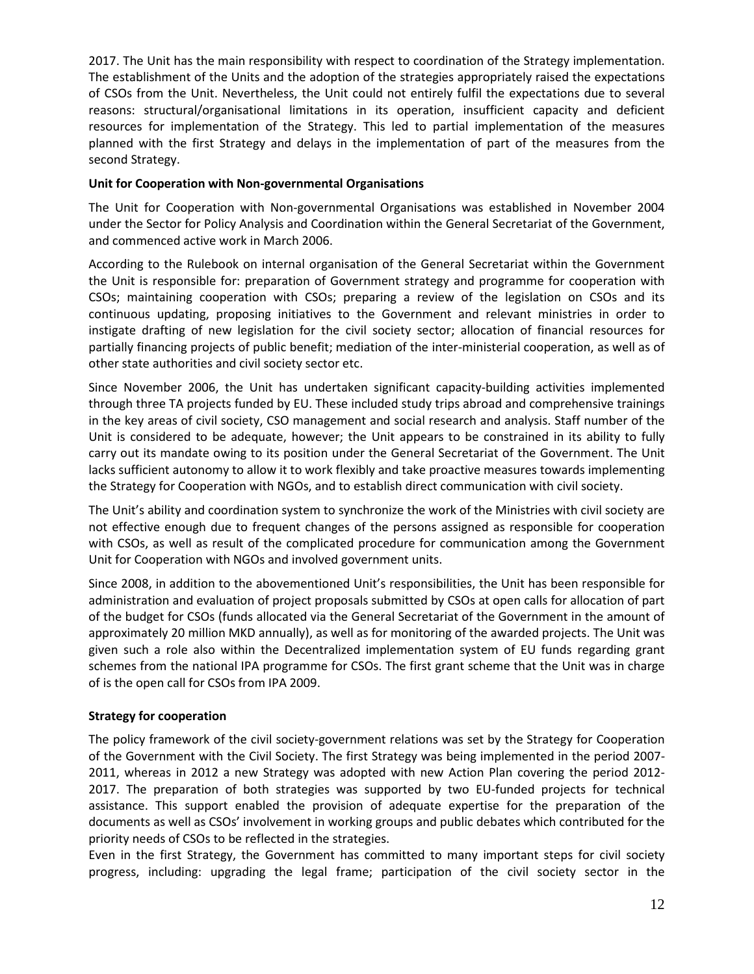2017. The Unit has the main responsibility with respect to coordination of the Strategy implementation. The establishment of the Units and the adoption of the strategies appropriately raised the expectations of CSOs from the Unit. Nevertheless, the Unit could not entirely fulfil the expectations due to several reasons: structural/organisational limitations in its operation, insufficient capacity and deficient resources for implementation of the Strategy. This led to partial implementation of the measures planned with the first Strategy and delays in the implementation of part of the measures from the second Strategy.

#### **Unit for Cooperation with Non-governmental Organisations**

The Unit for Cooperation with Non-governmental Organisations was established in November 2004 under the Sector for Policy Analysis and Coordination within the General Secretariat of the Government, and commenced active work in March 2006.

According to the Rulebook on internal organisation of the General Secretariat within the Government the Unit is responsible for: preparation of Government strategy and programme for cooperation with CSOs; maintaining cooperation with CSOs; preparing a review of the legislation on CSOs and its continuous updating, proposing initiatives to the Government and relevant ministries in order to instigate drafting of new legislation for the civil society sector; allocation of financial resources for partially financing projects of public benefit; mediation of the inter-ministerial cooperation, as well as of other state authorities and civil society sector etc.

Since November 2006, the Unit has undertaken significant capacity-building activities implemented through three TA projects funded by EU. These included study trips abroad and comprehensive trainings in the key areas of civil society, CSO management and social research and analysis. Staff number of the Unit is considered to be adequate, however; the Unit appears to be constrained in its ability to fully carry out its mandate owing to its position under the General Secretariat of the Government. The Unit lacks sufficient autonomy to allow it to work flexibly and take proactive measures towards implementing the Strategy for Cooperation with NGOs, and to establish direct communication with civil society.

The Unit's ability and coordination system to synchronize the work of the Ministries with civil society are not effective enough due to frequent changes of the persons assigned as responsible for cooperation with CSOs, as well as result of the complicated procedure for communication among the Government Unit for Cooperation with NGOs and involved government units.

Since 2008, in addition to the abovementioned Unit's responsibilities, the Unit has been responsible for administration and evaluation of project proposals submitted by CSOs at open calls for allocation of part of the budget for CSOs (funds allocated via the General Secretariat of the Government in the amount of approximately 20 million MKD annually), as well as for monitoring of the awarded projects. The Unit was given such a role also within the Decentralized implementation system of EU funds regarding grant schemes from the national IPA programme for CSOs. The first grant scheme that the Unit was in charge of is the open call for CSOs from IPA 2009.

# **Strategy for cooperation**

The policy framework of the civil society-government relations was set by the Strategy for Cooperation of the Government with the Civil Society. The first Strategy was being implemented in the period 2007- 2011, whereas in 2012 a new Strategy was adopted with new Action Plan covering the period 2012- 2017. The preparation of both strategies was supported by two EU-funded projects for technical assistance. This support enabled the provision of adequate expertise for the preparation of the documents as well as CSOs' involvement in working groups and public debates which contributed for the priority needs of CSOs to be reflected in the strategies.

Even in the first Strategy, the Government has committed to many important steps for civil society progress, including: upgrading the legal frame; participation of the civil society sector in the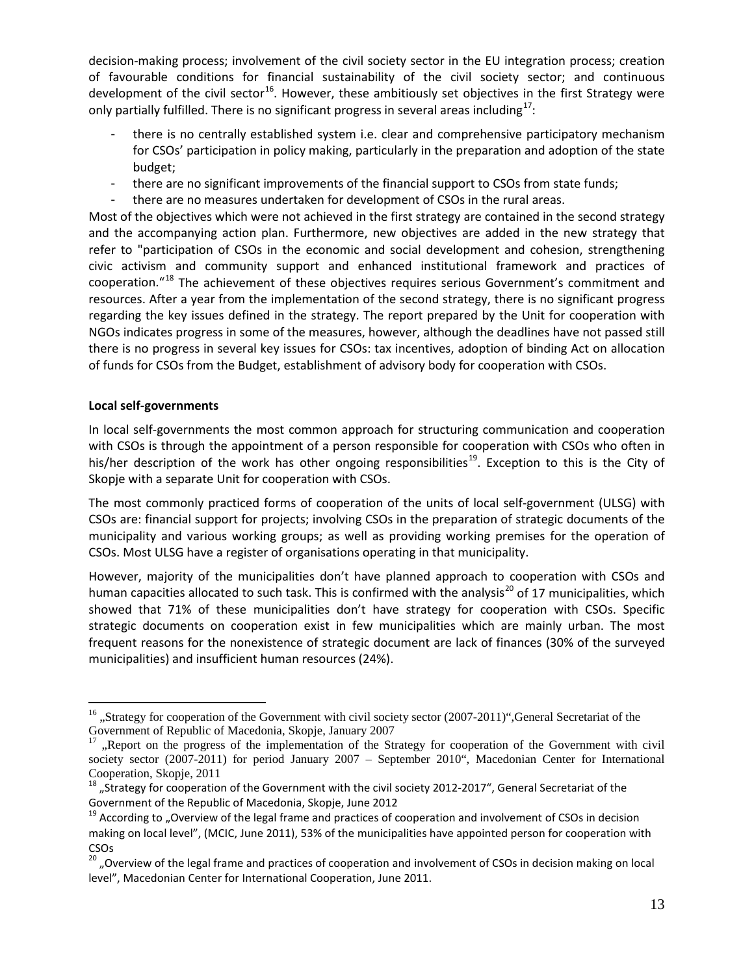decision-making process; involvement of the civil society sector in the EU integration process; creation of favourable conditions for financial sustainability of the civil society sector; and continuous development of the civil sector<sup>[16](#page-13-0)</sup>. However, these ambitiously set objectives in the first Strategy were only partially fulfilled. There is no significant progress in several areas including<sup>[17](#page-13-0)</sup>:

- there is no centrally established system i.e. clear and comprehensive participatory mechanism for CSOs' participation in policy making, particularly in the preparation and adoption of the state budget;
- there are no significant improvements of the financial support to CSOs from state funds;
- there are no measures undertaken for development of CSOs in the rural areas.

Most of the objectives which were not achieved in the first strategy are contained in the second strategy and the accompanying action plan. Furthermore, new objectives are added in the new strategy that refer to "participation of CSOs in the economic and social development and cohesion, strengthening civic activism and community support and enhanced institutional framework and practices of cooperation."[18](#page-13-0) The achievement of these objectives requires serious Government's commitment and resources. After a year from the implementation of the second strategy, there is no significant progress regarding the key issues defined in the strategy. The report prepared by the Unit for cooperation with NGOs indicates progress in some of the measures, however, although the deadlines have not passed still there is no progress in several key issues for CSOs: tax incentives, adoption of binding Act on allocation of funds for CSOs from the Budget, establishment of advisory body for cooperation with CSOs.

#### **Local self-governments**

In local self-governments the most common approach for structuring communication and cooperation with CSOs is through the appointment of a person responsible for cooperation with CSOs who often in his/her description of the work has other ongoing responsibilities<sup>19</sup>. Exception to this is the City of Skopje with a separate Unit for cooperation with CSOs.

The most commonly practiced forms of cooperation of the units of local self-government (ULSG) with CSOs are: financial support for projects; involving CSOs in the preparation of strategic documents of the municipality and various working groups; as well as providing working premises for the operation of CSOs. Most ULSG have a register of organisations operating in that municipality.

However, majority of the municipalities don't have planned approach to cooperation with CSOs and human capacities allocated to such task. This is confirmed with the analysis<sup>[20](#page-13-0)</sup> of 17 municipalities, which showed that 71% of these municipalities don't have strategy for cooperation with CSOs. Specific strategic documents on cooperation exist in few municipalities which are mainly urban. The most frequent reasons for the nonexistence of strategic document are lack of finances (30% of the surveyed municipalities) and insufficient human resources (24%).

<span id="page-13-0"></span> $16$ , Strategy for cooperation of the Government with civil society sector (2007-2011)", General Secretariat of the Government of Republic of Macedonia, Skopje, January 2007<br><sup>17</sup> "Report on the progress of the implementation of the Strategy for cooperation of the Government with civil  $\overline{a}$ 

society sector (2007-2011) for period January 2007 – September 2010", Macedonian Center for International Cooperation, Skopje, 2011

 $^{18}$  "Strategy for cooperation of the Government with the civil society 2012-2017", General Secretariat of the Government of the Republic of Macedonia, Skopje, June 2012<br><sup>19</sup> According to "Overview of the legal frame and practices of cooperation and involvement of CSOs in decision

making on local level", (MCIC, June 2011), 53% of the municipalities have appointed person for cooperation with CSOs

<sup>&</sup>lt;sup>20</sup> "Overview of the legal frame and practices of cooperation and involvement of CSOs in decision making on local level", Macedonian Center for International Cooperation, June 2011.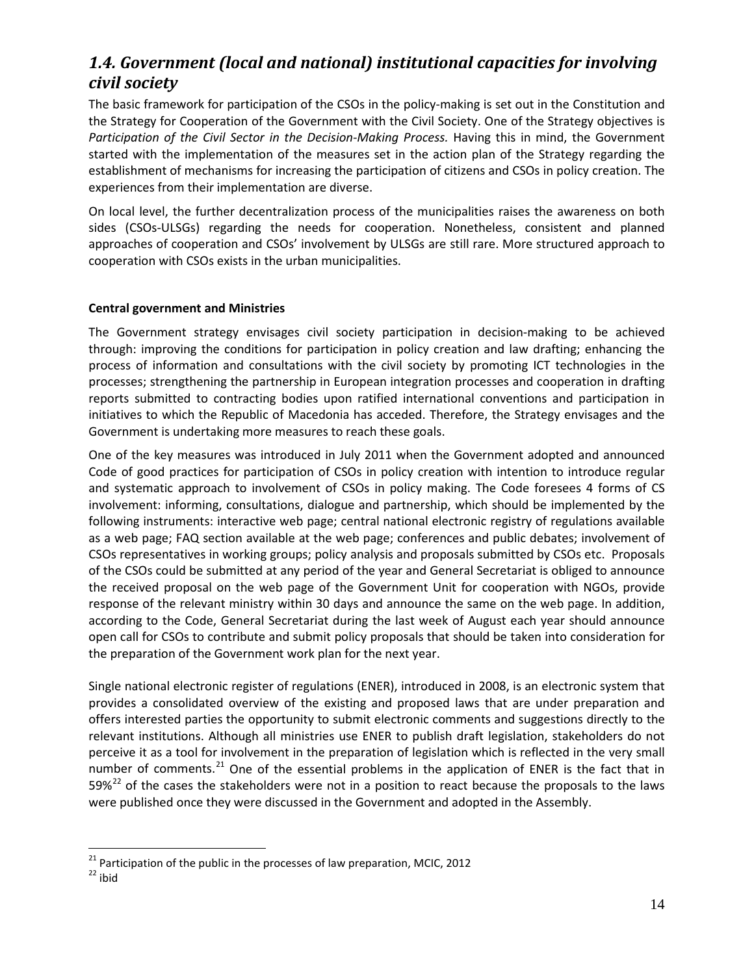# <span id="page-14-0"></span>*1.4. Government (local and national) institutional capacities for involving civil society*

The basic framework for participation of the CSOs in the policy-making is set out in the Constitution and the Strategy for Cooperation of the Government with the Civil Society. One of the Strategy objectives is *Participation of the Civil Sector in the Decision-Making Process.* Having this in mind, the Government started with the implementation of the measures set in the action plan of the Strategy regarding the establishment of mechanisms for increasing the participation of citizens and CSOs in policy creation. The experiences from their implementation are diverse.

On local level, the further decentralization process of the municipalities raises the awareness on both sides (CSOs-ULSGs) regarding the needs for cooperation. Nonetheless, consistent and planned approaches of cooperation and CSOs' involvement by ULSGs are still rare. More structured approach to cooperation with CSOs exists in the urban municipalities.

#### **Central government and Ministries**

The Government strategy envisages civil society participation in decision-making to be achieved through: improving the conditions for participation in policy creation and law drafting; enhancing the process of information and consultations with the civil society by promoting ICT technologies in the processes; strengthening the partnership in European integration processes and cooperation in drafting reports submitted to contracting bodies upon ratified international conventions and participation in initiatives to which the Republic of Macedonia has acceded. Therefore, the Strategy envisages and the Government is undertaking more measures to reach these goals.

One of the key measures was introduced in July 2011 when the Government adopted and announced Code of good practices for participation of CSOs in policy creation with intention to introduce regular and systematic approach to involvement of CSOs in policy making. The Code foresees 4 forms of CS involvement: informing, consultations, dialogue and partnership, which should be implemented by the following instruments: interactive web page; central national electronic registry of regulations available as a web page; FAQ section available at the web page; conferences and public debates; involvement of CSOs representatives in working groups; policy analysis and proposals submitted by CSOs etc. Proposals of the CSOs could be submitted at any period of the year and General Secretariat is obliged to announce the received proposal on the web page of the Government Unit for cooperation with NGOs, provide response of the relevant ministry within 30 days and announce the same on the web page. In addition, according to the Code, General Secretariat during the last week of August each year should announce open call for CSOs to contribute and submit policy proposals that should be taken into consideration for the preparation of the Government work plan for the next year.

Single national electronic register of regulations (ENER), introduced in 2008, is an electronic system that provides a consolidated overview of the existing and proposed laws that are under preparation and offers interested parties the opportunity to submit electronic comments and suggestions directly to the relevant institutions. Although all ministries use ENER to publish draft legislation, stakeholders do not perceive it as a tool for involvement in the preparation of legislation which is reflected in the very small number of comments.<sup>[21](#page-14-1)</sup> One of the essential problems in the application of ENER is the fact that in 59% $^{22}$  $^{22}$  $^{22}$  of the cases the stakeholders were not in a position to react because the proposals to the laws were published once they were discussed in the Government and adopted in the Assembly.

<span id="page-14-1"></span><sup>&</sup>lt;sup>21</sup> Participation of the public in the processes of law preparation, MCIC, 2012<br><sup>22</sup> ibid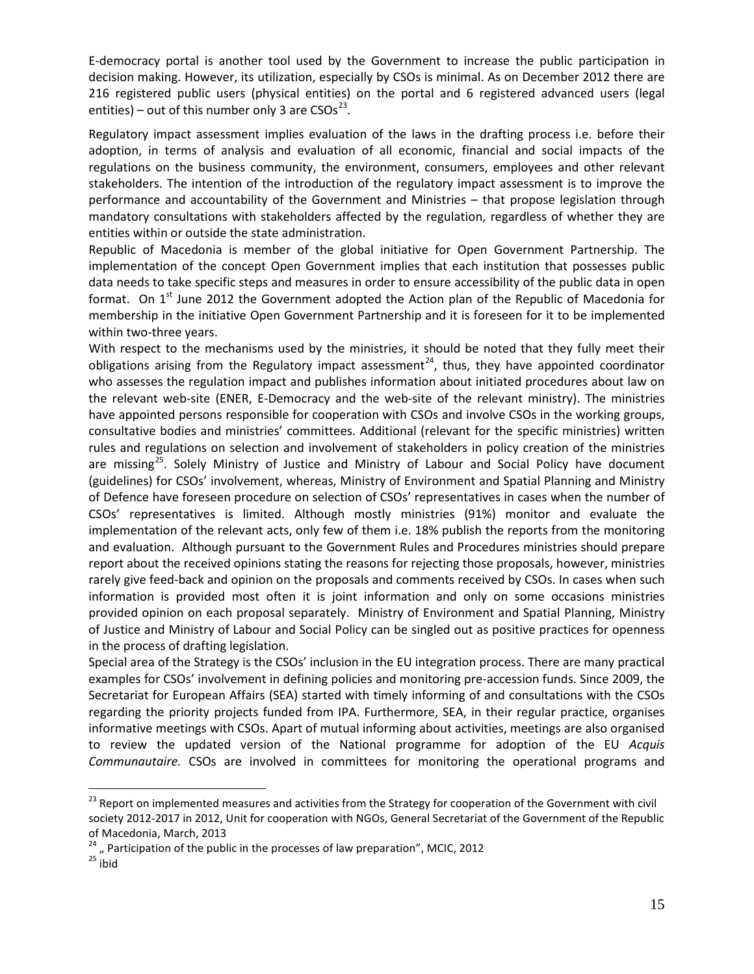E-democracy portal is another tool used by the Government to increase the public participation in decision making. However, its utilization, especially by CSOs is minimal. As on December 2012 there are 216 registered public users (physical entities) on the portal and 6 registered advanced users (legal entities) – out of this number only 3 are  $CSOs<sup>23</sup>$  $CSOs<sup>23</sup>$  $CSOs<sup>23</sup>$ .

Regulatory impact assessment implies evaluation of the laws in the drafting process i.e. before their adoption, in terms of analysis and evaluation of all economic, financial and social impacts of the regulations on the business community, the environment, consumers, employees and other relevant stakeholders. The intention of the introduction of the regulatory impact assessment is to improve the performance and accountability of the Government and Ministries – that propose legislation through mandatory consultations with stakeholders affected by the regulation, regardless of whether they are entities within or outside the state administration.

Republic of Macedonia is member of the global initiative for Open Government Partnership. The implementation of the concept Open Government implies that each institution that possesses public data needs to take specific steps and measures in order to ensure accessibility of the public data in open format. On  $1<sup>st</sup>$  June 2012 the Government adopted the Action plan of the Republic of Macedonia for membership in the initiative Open Government Partnership and it is foreseen for it to be implemented within two-three years.

With respect to the mechanisms used by the ministries, it should be noted that they fully meet their obligations arising from the Regulatory impact assessment<sup>[24](#page-15-0)</sup>, thus, they have appointed coordinator who assesses the regulation impact and publishes information about initiated procedures about law on the relevant web-site (ENER, E-Democracy and the web-site of the relevant ministry). The ministries have appointed persons responsible for cooperation with CSOs and involve CSOs in the working groups, consultative bodies and ministries' committees. Additional (relevant for the specific ministries) written rules and regulations on selection and involvement of stakeholders in policy creation of the ministries are missing<sup>25</sup>. Solely Ministry of Justice and Ministry of Labour and Social Policy have document (guidelines) for CSOs' involvement, whereas, Ministry of Environment and Spatial Planning and Ministry of Defence have foreseen procedure on selection of CSOs' representatives in cases when the number of CSOs' representatives is limited. Although mostly ministries (91%) monitor and evaluate the implementation of the relevant acts, only few of them i.e. 18% publish the reports from the monitoring and evaluation. Although pursuant to the Government Rules and Procedures ministries should prepare report about the received opinions stating the reasons for rejecting those proposals, however, ministries rarely give feed-back and opinion on the proposals and comments received by CSOs. In cases when such information is provided most often it is joint information and only on some occasions ministries provided opinion on each proposal separately. Ministry of Environment and Spatial Planning, Ministry of Justice and Ministry of Labour and Social Policy can be singled out as positive practices for openness in the process of drafting legislation.

Special area of the Strategy is the CSOs' inclusion in the EU integration process. There are many practical examples for CSOs' involvement in defining policies and monitoring pre-accession funds. Since 2009, the Secretariat for European Affairs (SEA) started with timely informing of and consultations with the CSOs regarding the priority projects funded from IPA. Furthermore, SEA, in their regular practice, organises informative meetings with CSOs. Apart of mutual informing about activities, meetings are also organised to review the updated version of the National programme for adoption of the EU *Acquis Communautaire.* CSOs are involved in committees for monitoring the operational programs and

<span id="page-15-0"></span><sup>&</sup>lt;sup>23</sup> Report on implemented measures and activities from the Strategy for cooperation of the Government with civil society 2012-2017 in 2012, Unit for cooperation with NGOs, General Secretariat of the Government of the Republic

of Macedonia, March, 2013<br><sup>24</sup> ,, Participation of the public in the processes of law preparation", MCIC, 2012<br><sup>25</sup> ibid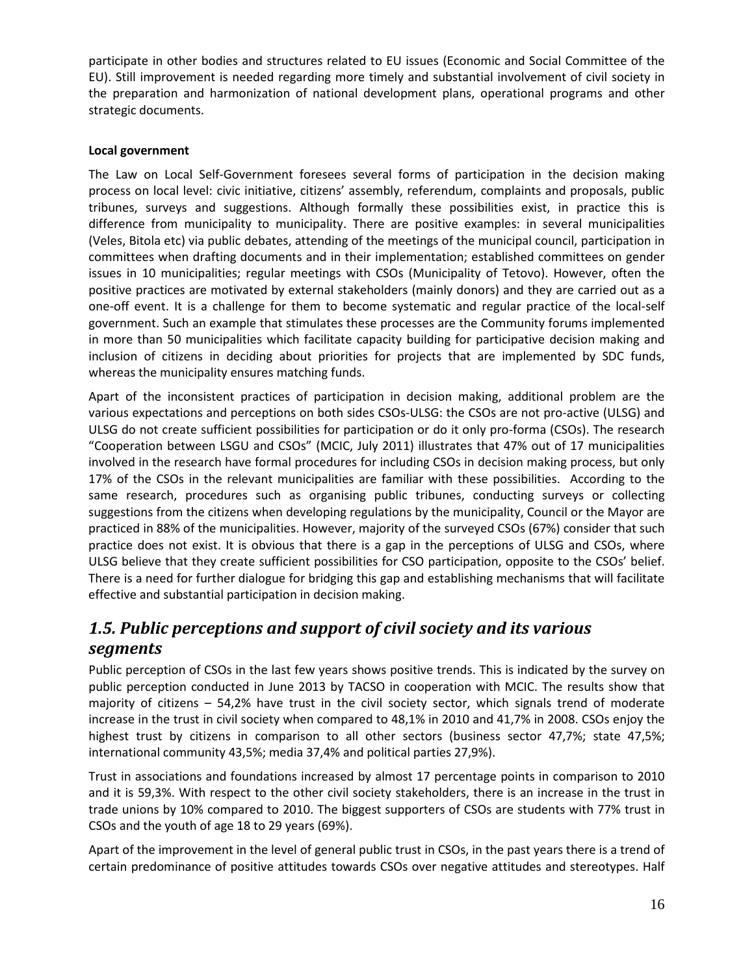participate in other bodies and structures related to EU issues (Economic and Social Committee of the EU). Still improvement is needed regarding more timely and substantial involvement of civil society in the preparation and harmonization of national development plans, operational programs and other strategic documents.

# **Local government**

The Law on Local Self-Government foresees several forms of participation in the decision making process on local level: civic initiative, citizens' assembly, referendum, complaints and proposals, public tribunes, surveys and suggestions. Although formally these possibilities exist, in practice this is difference from municipality to municipality. There are positive examples: in several municipalities (Veles, Bitola etc) via public debates, attending of the meetings of the municipal council, participation in committees when drafting documents and in their implementation; established committees on gender issues in 10 municipalities; regular meetings with CSOs (Municipality of Tetovo). However, often the positive practices are motivated by external stakeholders (mainly donors) and they are carried out as a one-off event. It is a challenge for them to become systematic and regular practice of the local-self government. Such an example that stimulates these processes are the Community forums implemented in more than 50 municipalities which facilitate capacity building for participative decision making and inclusion of citizens in deciding about priorities for projects that are implemented by SDC funds, whereas the municipality ensures matching funds.

Apart of the inconsistent practices of participation in decision making, additional problem are the various expectations and perceptions on both sides CSOs-ULSG: the CSOs are not pro-active (ULSG) and ULSG do not create sufficient possibilities for participation or do it only pro-forma (CSOs). The research "Cooperation between LSGU and CSOs" (MCIC, July 2011) illustrates that 47% out of 17 municipalities involved in the research have formal procedures for including CSOs in decision making process, but only 17% of the CSOs in the relevant municipalities are familiar with these possibilities. According to the same research, procedures such as organising public tribunes, conducting surveys or collecting suggestions from the citizens when developing regulations by the municipality, Council or the Mayor are practiced in 88% of the municipalities. However, majority of the surveyed CSOs (67%) consider that such practice does not exist. It is obvious that there is a gap in the perceptions of ULSG and CSOs, where ULSG believe that they create sufficient possibilities for CSO participation, opposite to the CSOs' belief. There is a need for further dialogue for bridging this gap and establishing mechanisms that will facilitate effective and substantial participation in decision making.

# <span id="page-16-0"></span>*1.5. Public perceptions and support of civil society and its various segments*

Public perception of CSOs in the last few years shows positive trends. This is indicated by the survey on public perception conducted in June 2013 by TACSO in cooperation with MCIC. The results show that majority of citizens – 54,2% have trust in the civil society sector, which signals trend of moderate increase in the trust in civil society when compared to 48,1% in 2010 and 41,7% in 2008. CSOs enjoy the highest trust by citizens in comparison to all other sectors (business sector 47,7%; state 47,5%; international community 43,5%; media 37,4% and political parties 27,9%).

Trust in associations and foundations increased by almost 17 percentage points in comparison to 2010 and it is 59,3%. With respect to the other civil society stakeholders, there is an increase in the trust in trade unions by 10% compared to 2010. The biggest supporters of CSOs are students with 77% trust in CSOs and the youth of age 18 to 29 years (69%).

Apart of the improvement in the level of general public trust in CSOs, in the past years there is a trend of certain predominance of positive attitudes towards CSOs over negative attitudes and stereotypes. Half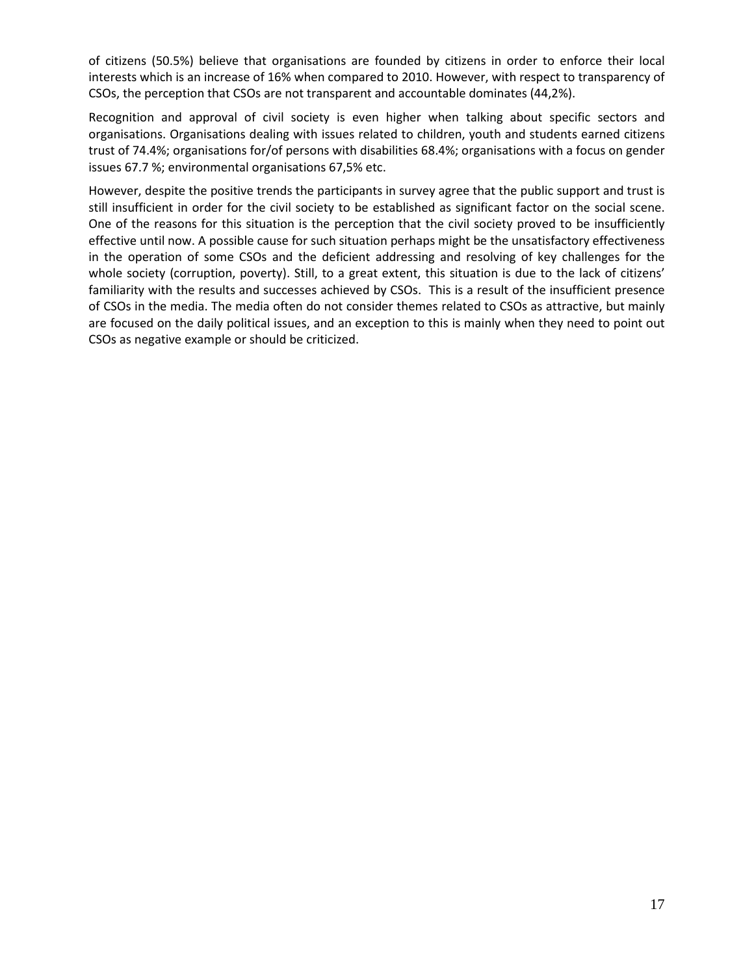of citizens (50.5%) believe that organisations are founded by citizens in order to enforce their local interests which is an increase of 16% when compared to 2010. However, with respect to transparency of CSOs, the perception that CSOs are not transparent and accountable dominates (44,2%).

Recognition and approval of civil society is even higher when talking about specific sectors and organisations. Organisations dealing with issues related to children, youth and students earned citizens trust of 74.4%; organisations for/of persons with disabilities 68.4%; organisations with a focus on gender issues 67.7 %; environmental organisations 67,5% etc.

However, despite the positive trends the participants in survey agree that the public support and trust is still insufficient in order for the civil society to be established as significant factor on the social scene. One of the reasons for this situation is the perception that the civil society proved to be insufficiently effective until now. A possible cause for such situation perhaps might be the unsatisfactory effectiveness in the operation of some CSOs and the deficient addressing and resolving of key challenges for the whole society (corruption, poverty). Still, to a great extent, this situation is due to the lack of citizens' familiarity with the results and successes achieved by CSOs. This is a result of the insufficient presence of CSOs in the media. The media often do not consider themes related to CSOs as attractive, but mainly are focused on the daily political issues, and an exception to this is mainly when they need to point out CSOs as negative example or should be criticized.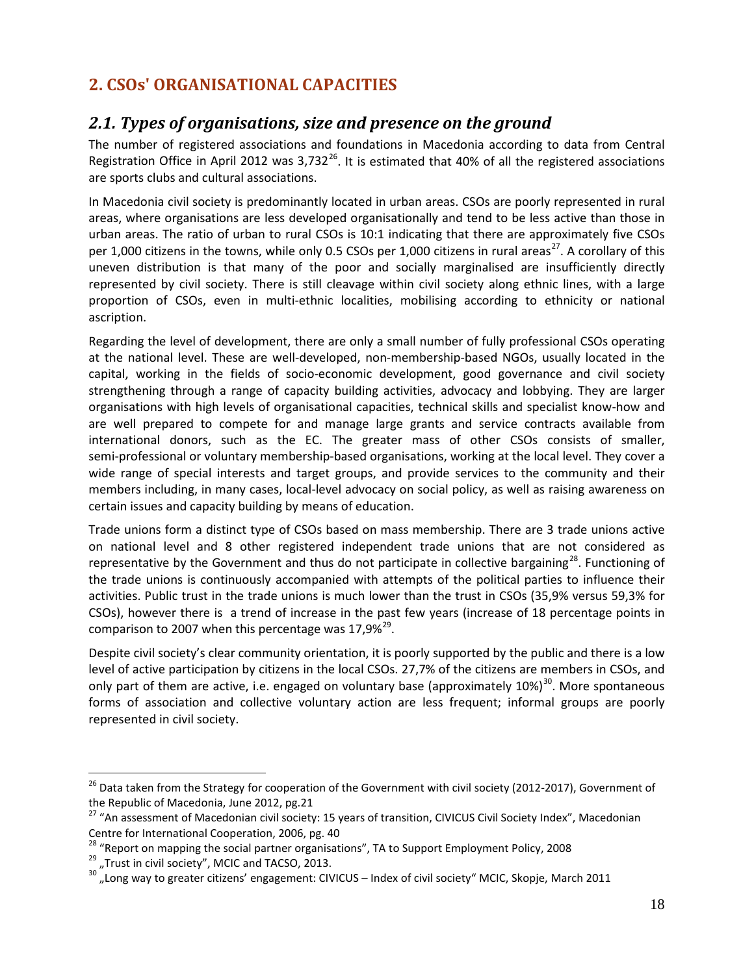# <span id="page-18-0"></span>**2. CSOs' ORGANISATIONAL CAPACITIES**

# <span id="page-18-1"></span>*2.1. Types of organisations, size and presence on the ground*

The number of registered associations and foundations in Macedonia according to data from Central Registration Office in April 2012 was  $3,732^{26}$  $3,732^{26}$  $3,732^{26}$ . It is estimated that 40% of all the registered associations are sports clubs and cultural associations.

In Macedonia civil society is predominantly located in urban areas. CSOs are poorly represented in rural areas, where organisations are less developed organisationally and tend to be less active than those in urban areas. The ratio of urban to rural CSOs is 10:1 indicating that there are approximately five CSOs per 1,000 citizens in the towns, while only 0.5 CSOs per 1,000 citizens in rural areas<sup>[27](#page-18-2)</sup>. A corollary of this uneven distribution is that many of the poor and socially marginalised are insufficiently directly represented by civil society. There is still cleavage within civil society along ethnic lines, with a large proportion of CSOs, even in multi-ethnic localities, mobilising according to ethnicity or national ascription.

Regarding the level of development, there are only a small number of fully professional CSOs operating at the national level. These are well-developed, non-membership-based NGOs, usually located in the capital, working in the fields of socio-economic development, good governance and civil society strengthening through a range of capacity building activities, advocacy and lobbying. They are larger organisations with high levels of organisational capacities, technical skills and specialist know-how and are well prepared to compete for and manage large grants and service contracts available from international donors, such as the EC. The greater mass of other CSOs consists of smaller, semi-professional or voluntary membership-based organisations, working at the local level. They cover a wide range of special interests and target groups, and provide services to the community and their members including, in many cases, local-level advocacy on social policy, as well as raising awareness on certain issues and capacity building by means of education.

Trade unions form a distinct type of CSOs based on mass membership. There are 3 trade unions active on national level and 8 other registered independent trade unions that are not considered as representative by the Government and thus do not participate in collective bargaining<sup>28</sup>. Functioning of the trade unions is continuously accompanied with attempts of the political parties to influence their activities. Public trust in the trade unions is much lower than the trust in CSOs (35,9% versus 59,3% for CSOs), however there is a trend of increase in the past few years (increase of 18 percentage points in comparison to 2007 when this percentage was  $17.9\%^{29}$ .

Despite civil society's clear community orientation, it is poorly supported by the public and there is a low level of active participation by citizens in the local CSOs. 27,7% of the citizens are members in CSOs, and only part of them are active, i.e. engaged on voluntary base (approximately 10%)<sup>[30](#page-18-2)</sup>. More spontaneous forms of association and collective voluntary action are less frequent; informal groups are poorly represented in civil society.

<span id="page-18-2"></span><sup>&</sup>lt;sup>26</sup> Data taken from the Strategy for cooperation of the Government with civil society (2012-2017), Government of the Republic of Macedonia, June 2012, pg.21

<sup>&</sup>lt;sup>27</sup> "An assessment of Macedonian civil society: 15 years of transition, CIVICUS Civil Society Index", Macedonian

Centre for International Cooperation, 2006, pg. 40<br><sup>28</sup> "Report on mapping the social partner organisations", TA to Support Employment Policy, 2008

 $^{29}$  "Trust in civil society", MCIC and TACSO, 2013.<br><sup>30</sup> "Long way to greater citizens' engagement: CIVICUS – Index of civil society" MCIC, Skopje, March 2011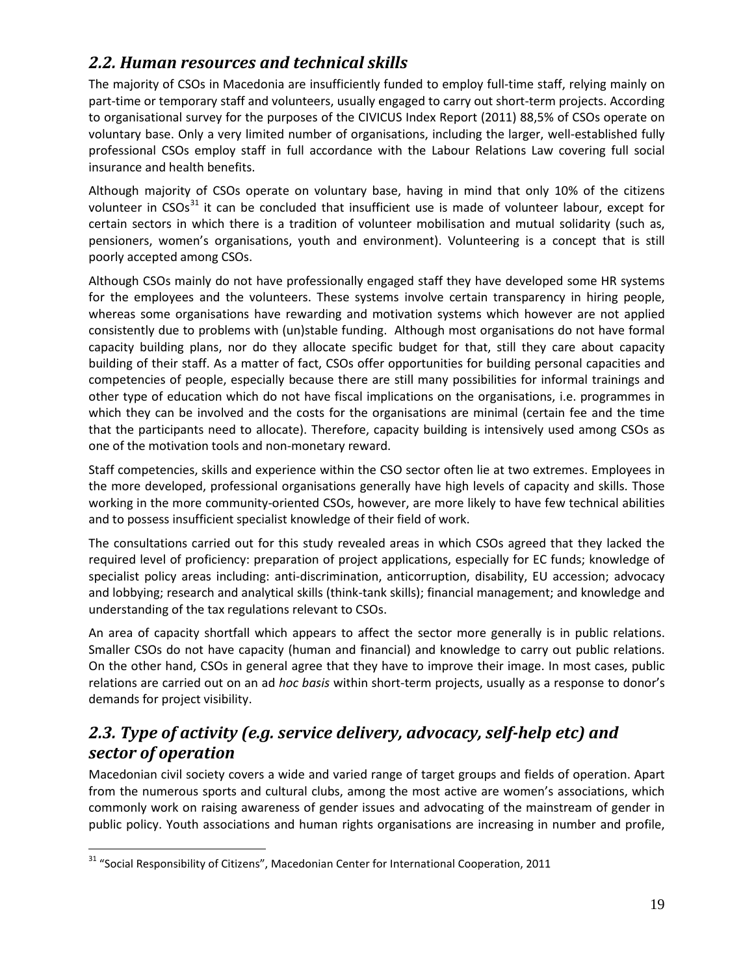# <span id="page-19-0"></span>*2.2. Human resources and technical skills*

The majority of CSOs in Macedonia are insufficiently funded to employ full-time staff, relying mainly on part-time or temporary staff and volunteers, usually engaged to carry out short-term projects. According to organisational survey for the purposes of the CIVICUS Index Report (2011) 88,5% of CSOs operate on voluntary base. Only a very limited number of organisations, including the larger, well-established fully professional CSOs employ staff in full accordance with the Labour Relations Law covering full social insurance and health benefits.

Although majority of CSOs operate on voluntary base, having in mind that only 10% of the citizens volunteer in CSOs<sup>[31](#page-19-2)</sup> it can be concluded that insufficient use is made of volunteer labour, except for certain sectors in which there is a tradition of volunteer mobilisation and mutual solidarity (such as, pensioners, women's organisations, youth and environment). Volunteering is a concept that is still poorly accepted among CSOs.

Although CSOs mainly do not have professionally engaged staff they have developed some HR systems for the employees and the volunteers. These systems involve certain transparency in hiring people, whereas some organisations have rewarding and motivation systems which however are not applied consistently due to problems with (un)stable funding. Although most organisations do not have formal capacity building plans, nor do they allocate specific budget for that, still they care about capacity building of their staff. As a matter of fact, CSOs offer opportunities for building personal capacities and competencies of people, especially because there are still many possibilities for informal trainings and other type of education which do not have fiscal implications on the organisations, i.e. programmes in which they can be involved and the costs for the organisations are minimal (certain fee and the time that the participants need to allocate). Therefore, capacity building is intensively used among CSOs as one of the motivation tools and non-monetary reward.

Staff competencies, skills and experience within the CSO sector often lie at two extremes. Employees in the more developed, professional organisations generally have high levels of capacity and skills. Those working in the more community-oriented CSOs, however, are more likely to have few technical abilities and to possess insufficient specialist knowledge of their field of work.

The consultations carried out for this study revealed areas in which CSOs agreed that they lacked the required level of proficiency: preparation of project applications, especially for EC funds; knowledge of specialist policy areas including: anti-discrimination, anticorruption, disability, EU accession; advocacy and lobbying; research and analytical skills (think-tank skills); financial management; and knowledge and understanding of the tax regulations relevant to CSOs.

An area of capacity shortfall which appears to affect the sector more generally is in public relations. Smaller CSOs do not have capacity (human and financial) and knowledge to carry out public relations. On the other hand, CSOs in general agree that they have to improve their image. In most cases, public relations are carried out on an ad *hoc basis* within short-term projects, usually as a response to donor's demands for project visibility.

# <span id="page-19-1"></span>*2.3. Type of activity (e.g. service delivery, advocacy, self-help etc) and sector of operation*

Macedonian civil society covers a wide and varied range of target groups and fields of operation. Apart from the numerous sports and cultural clubs, among the most active are women's associations, which commonly work on raising awareness of gender issues and advocating of the mainstream of gender in public policy. Youth associations and human rights organisations are increasing in number and profile,

<span id="page-19-2"></span> $31$  "Social Responsibility of Citizens", Macedonian Center for International Cooperation, 2011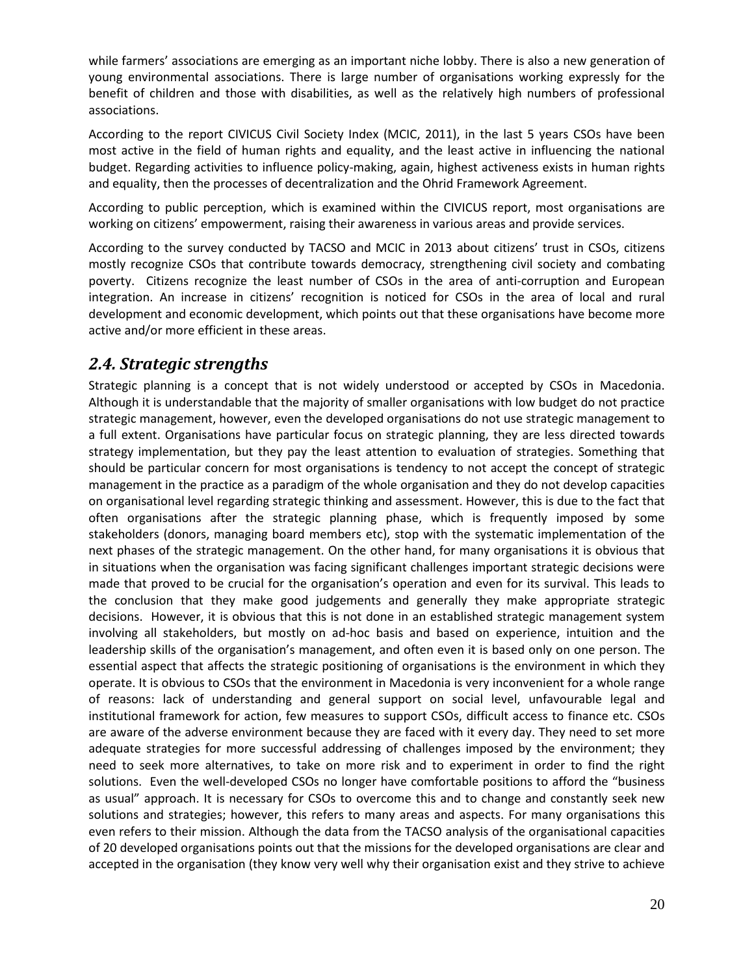while farmers' associations are emerging as an important niche lobby. There is also a new generation of young environmental associations. There is large number of organisations working expressly for the benefit of children and those with disabilities, as well as the relatively high numbers of professional associations.

According to the report CIVICUS Civil Society Index (MCIC, 2011), in the last 5 years CSOs have been most active in the field of human rights and equality, and the least active in influencing the national budget. Regarding activities to influence policy-making, again, highest activeness exists in human rights and equality, then the processes of decentralization and the Ohrid Framework Agreement.

According to public perception, which is examined within the CIVICUS report, most organisations are working on citizens' empowerment, raising their awareness in various areas and provide services.

According to the survey conducted by TACSO and MCIC in 2013 about citizens' trust in CSOs, citizens mostly recognize CSOs that contribute towards democracy, strengthening civil society and combating poverty. Citizens recognize the least number of CSOs in the area of anti-corruption and European integration. An increase in citizens' recognition is noticed for CSOs in the area of local and rural development and economic development, which points out that these organisations have become more active and/or more efficient in these areas.

# <span id="page-20-0"></span>*2.4. Strategic strengths*

Strategic planning is a concept that is not widely understood or accepted by CSOs in Macedonia. Although it is understandable that the majority of smaller organisations with low budget do not practice strategic management, however, even the developed organisations do not use strategic management to a full extent. Organisations have particular focus on strategic planning, they are less directed towards strategy implementation, but they pay the least attention to evaluation of strategies. Something that should be particular concern for most organisations is tendency to not accept the concept of strategic management in the practice as a paradigm of the whole organisation and they do not develop capacities on organisational level regarding strategic thinking and assessment. However, this is due to the fact that often organisations after the strategic planning phase, which is frequently imposed by some stakeholders (donors, managing board members etc), stop with the systematic implementation of the next phases of the strategic management. On the other hand, for many organisations it is obvious that in situations when the organisation was facing significant challenges important strategic decisions were made that proved to be crucial for the organisation's operation and even for its survival. This leads to the conclusion that they make good judgements and generally they make appropriate strategic decisions. However, it is obvious that this is not done in an established strategic management system involving all stakeholders, but mostly on ad-hoc basis and based on experience, intuition and the leadership skills of the organisation's management, and often even it is based only on one person. The essential aspect that affects the strategic positioning of organisations is the environment in which they operate. It is obvious to CSOs that the environment in Macedonia is very inconvenient for a whole range of reasons: lack of understanding and general support on social level, unfavourable legal and institutional framework for action, few measures to support CSOs, difficult access to finance etc. CSOs are aware of the adverse environment because they are faced with it every day. They need to set more adequate strategies for more successful addressing of challenges imposed by the environment; they need to seek more alternatives, to take on more risk and to experiment in order to find the right solutions. Even the well-developed CSOs no longer have comfortable positions to afford the "business as usual" approach. It is necessary for CSOs to overcome this and to change and constantly seek new solutions and strategies; however, this refers to many areas and aspects. For many organisations this even refers to their mission. Although the data from the TACSO analysis of the organisational capacities of 20 developed organisations points out that the missions for the developed organisations are clear and accepted in the organisation (they know very well why their organisation exist and they strive to achieve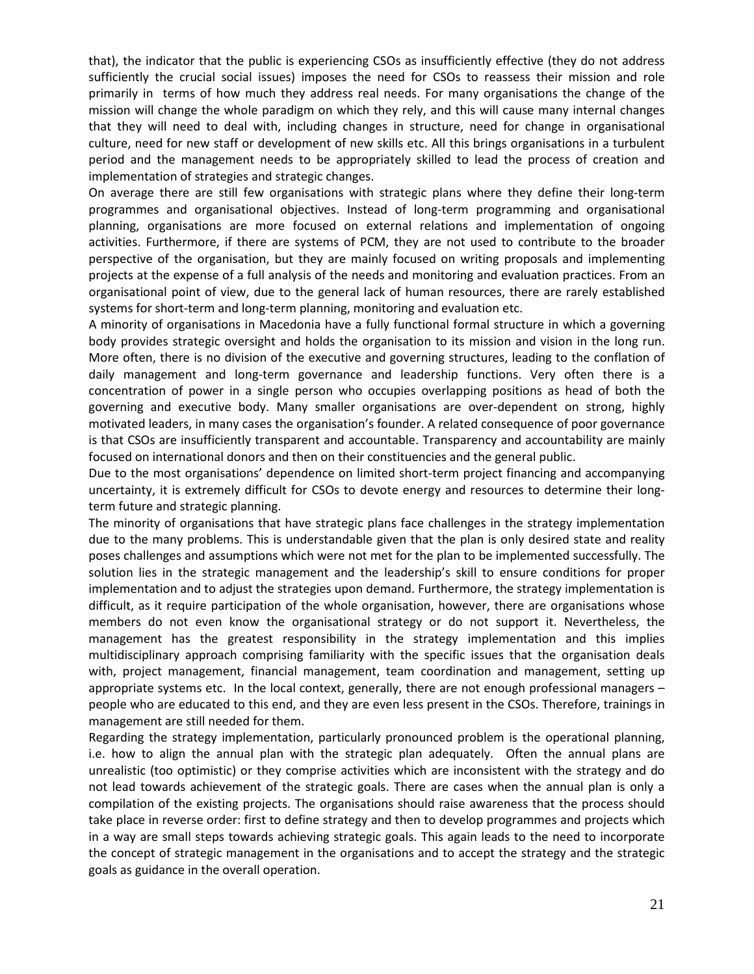that), the indicator that the public is experiencing CSOs as insufficiently effective (they do not address sufficiently the crucial social issues) imposes the need for CSOs to reassess their mission and role primarily in terms of how much they address real needs. For many organisations the change of the mission will change the whole paradigm on which they rely, and this will cause many internal changes that they will need to deal with, including changes in structure, need for change in organisational culture, need for new staff or development of new skills etc. All this brings organisations in a turbulent period and the management needs to be appropriately skilled to lead the process of creation and implementation of strategies and strategic changes.

On average there are still few organisations with strategic plans where they define their long-term programmes and organisational objectives. Instead of long-term programming and organisational planning, organisations are more focused on external relations and implementation of ongoing activities. Furthermore, if there are systems of PCM, they are not used to contribute to the broader perspective of the organisation, but they are mainly focused on writing proposals and implementing projects at the expense of a full analysis of the needs and monitoring and evaluation practices. From an organisational point of view, due to the general lack of human resources, there are rarely established systems for short-term and long-term planning, monitoring and evaluation etc.

A minority of organisations in Macedonia have a fully functional formal structure in which a governing body provides strategic oversight and holds the organisation to its mission and vision in the long run. More often, there is no division of the executive and governing structures, leading to the conflation of daily management and long-term governance and leadership functions. Very often there is a concentration of power in a single person who occupies overlapping positions as head of both the governing and executive body. Many smaller organisations are over-dependent on strong, highly motivated leaders, in many cases the organisation's founder. A related consequence of poor governance is that CSOs are insufficiently transparent and accountable. Transparency and accountability are mainly focused on international donors and then on their constituencies and the general public.

Due to the most organisations' dependence on limited short-term project financing and accompanying uncertainty, it is extremely difficult for CSOs to devote energy and resources to determine their longterm future and strategic planning.

The minority of organisations that have strategic plans face challenges in the strategy implementation due to the many problems. This is understandable given that the plan is only desired state and reality poses challenges and assumptions which were not met for the plan to be implemented successfully. The solution lies in the strategic management and the leadership's skill to ensure conditions for proper implementation and to adjust the strategies upon demand. Furthermore, the strategy implementation is difficult, as it require participation of the whole organisation, however, there are organisations whose members do not even know the organisational strategy or do not support it. Nevertheless, the management has the greatest responsibility in the strategy implementation and this implies multidisciplinary approach comprising familiarity with the specific issues that the organisation deals with, project management, financial management, team coordination and management, setting up appropriate systems etc. In the local context, generally, there are not enough professional managers – people who are educated to this end, and they are even less present in the CSOs. Therefore, trainings in management are still needed for them.

Regarding the strategy implementation, particularly pronounced problem is the operational planning, i.e. how to align the annual plan with the strategic plan adequately. Often the annual plans are unrealistic (too optimistic) or they comprise activities which are inconsistent with the strategy and do not lead towards achievement of the strategic goals. There are cases when the annual plan is only a compilation of the existing projects. The organisations should raise awareness that the process should take place in reverse order: first to define strategy and then to develop programmes and projects which in a way are small steps towards achieving strategic goals. This again leads to the need to incorporate the concept of strategic management in the organisations and to accept the strategy and the strategic goals as guidance in the overall operation.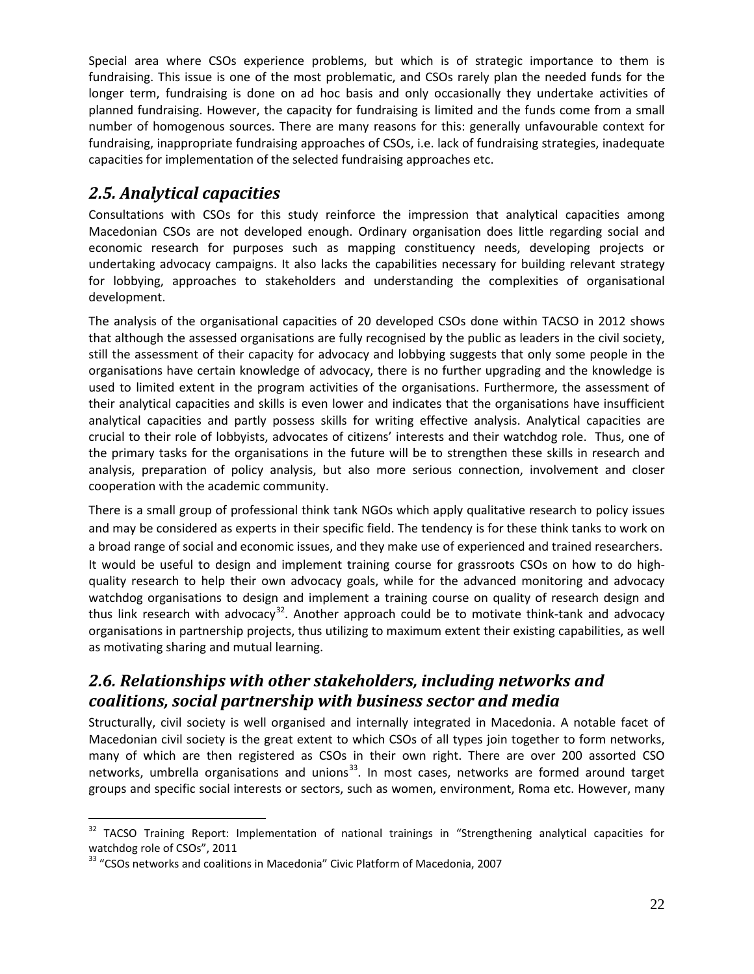Special area where CSOs experience problems, but which is of strategic importance to them is fundraising. This issue is one of the most problematic, and CSOs rarely plan the needed funds for the longer term, fundraising is done on ad hoc basis and only occasionally they undertake activities of planned fundraising. However, the capacity for fundraising is limited and the funds come from a small number of homogenous sources. There are many reasons for this: generally unfavourable context for fundraising, inappropriate fundraising approaches of CSOs, i.e. lack of fundraising strategies, inadequate capacities for implementation of the selected fundraising approaches etc.

# <span id="page-22-0"></span>*2.5. Analytical capacities*

Consultations with CSOs for this study reinforce the impression that analytical capacities among Macedonian CSOs are not developed enough. Ordinary organisation does little regarding social and economic research for purposes such as mapping constituency needs, developing projects or undertaking advocacy campaigns. It also lacks the capabilities necessary for building relevant strategy for lobbying, approaches to stakeholders and understanding the complexities of organisational development.

The analysis of the organisational capacities of 20 developed CSOs done within TACSO in 2012 shows that although the assessed organisations are fully recognised by the public as leaders in the civil society, still the assessment of their capacity for advocacy and lobbying suggests that only some people in the organisations have certain knowledge of advocacy, there is no further upgrading and the knowledge is used to limited extent in the program activities of the organisations. Furthermore, the assessment of their analytical capacities and skills is even lower and indicates that the organisations have insufficient analytical capacities and partly possess skills for writing effective analysis. Analytical capacities are crucial to their role of lobbyists, advocates of citizens' interests and their watchdog role. Thus, one of the primary tasks for the organisations in the future will be to strengthen these skills in research and analysis, preparation of policy analysis, but also more serious connection, involvement and closer cooperation with the academic community.

There is a small group of professional think tank NGOs which apply qualitative research to policy issues and may be considered as experts in their specific field. The tendency is for these think tanks to work on a broad range of social and economic issues, and they make use of experienced and trained researchers. It would be useful to design and implement training course for grassroots CSOs on how to do highquality research to help their own advocacy goals, while for the advanced monitoring and advocacy watchdog organisations to design and implement a training course on quality of research design and thus link research with advocacy<sup>[32](#page-22-2)</sup>. Another approach could be to motivate think-tank and advocacy organisations in partnership projects, thus utilizing to maximum extent their existing capabilities, as well as motivating sharing and mutual learning.

# <span id="page-22-1"></span>*2.6. Relationships with other stakeholders, including networks and coalitions, social partnership with business sector and media*

Structurally, civil society is well organised and internally integrated in Macedonia. A notable facet of Macedonian civil society is the great extent to which CSOs of all types join together to form networks, many of which are then registered as CSOs in their own right. There are over 200 assorted CSO networks, umbrella organisations and unions<sup>33</sup>. In most cases, networks are formed around target groups and specific social interests or sectors, such as women, environment, Roma etc. However, many

<span id="page-22-2"></span><sup>&</sup>lt;sup>32</sup> TACSO Training Report: Implementation of national trainings in "Strengthening analytical capacities for watchdog role of CSOs", 2011

<sup>&</sup>lt;sup>33</sup> "CSOs networks and coalitions in Macedonia" Civic Platform of Macedonia, 2007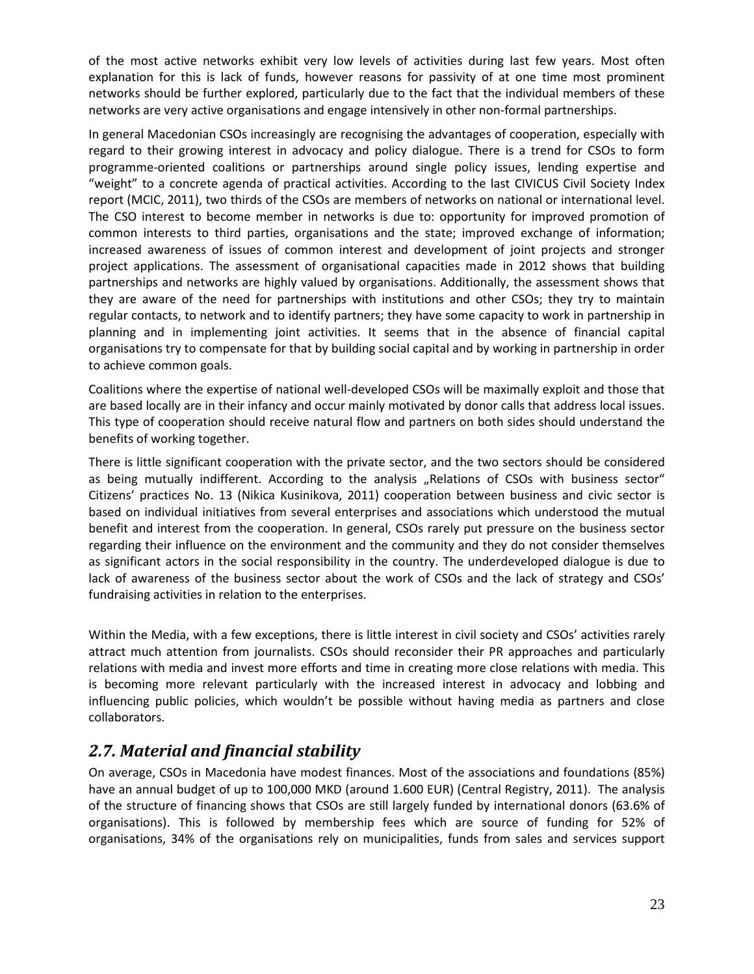of the most active networks exhibit very low levels of activities during last few years. Most often explanation for this is lack of funds, however reasons for passivity of at one time most prominent networks should be further explored, particularly due to the fact that the individual members of these networks are very active organisations and engage intensively in other non-formal partnerships.

In general Macedonian CSOs increasingly are recognising the advantages of cooperation, especially with regard to their growing interest in advocacy and policy dialogue. There is a trend for CSOs to form programme-oriented coalitions or partnerships around single policy issues, lending expertise and "weight" to a concrete agenda of practical activities. According to the last CIVICUS Civil Society Index report (MCIC, 2011), two thirds of the CSOs are members of networks on national or international level. The CSO interest to become member in networks is due to: opportunity for improved promotion of common interests to third parties, organisations and the state; improved exchange of information; increased awareness of issues of common interest and development of joint projects and stronger project applications. The assessment of organisational capacities made in 2012 shows that building partnerships and networks are highly valued by organisations. Additionally, the assessment shows that they are aware of the need for partnerships with institutions and other CSOs; they try to maintain regular contacts, to network and to identify partners; they have some capacity to work in partnership in planning and in implementing joint activities. It seems that in the absence of financial capital organisations try to compensate for that by building social capital and by working in partnership in order to achieve common goals.

Coalitions where the expertise of national well-developed CSOs will be maximally exploit and those that are based locally are in their infancy and occur mainly motivated by donor calls that address local issues. This type of cooperation should receive natural flow and partners on both sides should understand the benefits of working together.

There is little significant cooperation with the private sector, and the two sectors should be considered as being mutually indifferent. According to the analysis "Relations of CSOs with business sector" Citizens' practices No. 13 (Nikica Kusinikova, 2011) cooperation between business and civic sector is based on individual initiatives from several enterprises and associations which understood the mutual benefit and interest from the cooperation. In general, CSOs rarely put pressure on the business sector regarding their influence on the environment and the community and they do not consider themselves as significant actors in the social responsibility in the country. The underdeveloped dialogue is due to lack of awareness of the business sector about the work of CSOs and the lack of strategy and CSOs' fundraising activities in relation to the enterprises.

Within the Media, with a few exceptions, there is little interest in civil society and CSOs' activities rarely attract much attention from journalists. CSOs should reconsider their PR approaches and particularly relations with media and invest more efforts and time in creating more close relations with media. This is becoming more relevant particularly with the increased interest in advocacy and lobbing and influencing public policies, which wouldn't be possible without having media as partners and close collaborators.

# <span id="page-23-0"></span>*2.7. Material and financial stability*

On average, CSOs in Macedonia have modest finances. Most of the associations and foundations (85%) have an annual budget of up to 100,000 MKD (around 1.600 EUR) (Central Registry, 2011). The analysis of the structure of financing shows that CSOs are still largely funded by international donors (63.6% of organisations). This is followed by membership fees which are source of funding for 52% of organisations, 34% of the organisations rely on municipalities, funds from sales and services support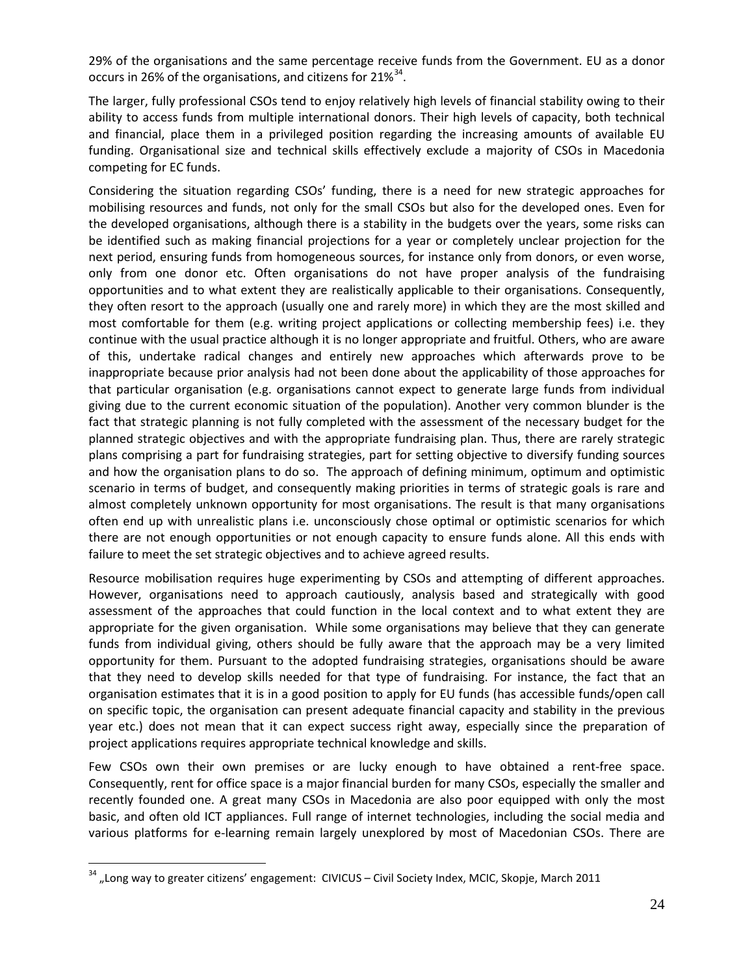29% of the organisations and the same percentage receive funds from the Government. EU as a donor occurs in 26% of the organisations, and citizens for  $21\%^{34}$  $21\%^{34}$  $21\%^{34}$ .

The larger, fully professional CSOs tend to enjoy relatively high levels of financial stability owing to their ability to access funds from multiple international donors. Their high levels of capacity, both technical and financial, place them in a privileged position regarding the increasing amounts of available EU funding. Organisational size and technical skills effectively exclude a majority of CSOs in Macedonia competing for EC funds.

Considering the situation regarding CSOs' funding, there is a need for new strategic approaches for mobilising resources and funds, not only for the small CSOs but also for the developed ones. Even for the developed organisations, although there is a stability in the budgets over the years, some risks can be identified such as making financial projections for a year or completely unclear projection for the next period, ensuring funds from homogeneous sources, for instance only from donors, or even worse, only from one donor etc. Often organisations do not have proper analysis of the fundraising opportunities and to what extent they are realistically applicable to their organisations. Consequently, they often resort to the approach (usually one and rarely more) in which they are the most skilled and most comfortable for them (e.g. writing project applications or collecting membership fees) i.e. they continue with the usual practice although it is no longer appropriate and fruitful. Others, who are aware of this, undertake radical changes and entirely new approaches which afterwards prove to be inappropriate because prior analysis had not been done about the applicability of those approaches for that particular organisation (e.g. organisations cannot expect to generate large funds from individual giving due to the current economic situation of the population). Another very common blunder is the fact that strategic planning is not fully completed with the assessment of the necessary budget for the planned strategic objectives and with the appropriate fundraising plan. Thus, there are rarely strategic plans comprising a part for fundraising strategies, part for setting objective to diversify funding sources and how the organisation plans to do so. The approach of defining minimum, optimum and optimistic scenario in terms of budget, and consequently making priorities in terms of strategic goals is rare and almost completely unknown opportunity for most organisations. The result is that many organisations often end up with unrealistic plans i.e. unconsciously chose optimal or optimistic scenarios for which there are not enough opportunities or not enough capacity to ensure funds alone. All this ends with failure to meet the set strategic objectives and to achieve agreed results.

Resource mobilisation requires huge experimenting by CSOs and attempting of different approaches. However, organisations need to approach cautiously, analysis based and strategically with good assessment of the approaches that could function in the local context and to what extent they are appropriate for the given organisation. While some organisations may believe that they can generate funds from individual giving, others should be fully aware that the approach may be a very limited opportunity for them. Pursuant to the adopted fundraising strategies, organisations should be aware that they need to develop skills needed for that type of fundraising. For instance, the fact that an organisation estimates that it is in a good position to apply for EU funds (has accessible funds/open call on specific topic, the organisation can present adequate financial capacity and stability in the previous year etc.) does not mean that it can expect success right away, especially since the preparation of project applications requires appropriate technical knowledge and skills.

Few CSOs own their own premises or are lucky enough to have obtained a rent-free space. Consequently, rent for office space is a major financial burden for many CSOs, especially the smaller and recently founded one. A great many CSOs in Macedonia are also poor equipped with only the most basic, and often old ICT appliances. Full range of internet technologies, including the social media and various platforms for e-learning remain largely unexplored by most of Macedonian CSOs. There are

<span id="page-24-0"></span><sup>&</sup>lt;sup>34</sup> "Long way to greater citizens' engagement: CIVICUS – Civil Society Index, MCIC, Skopje, March 2011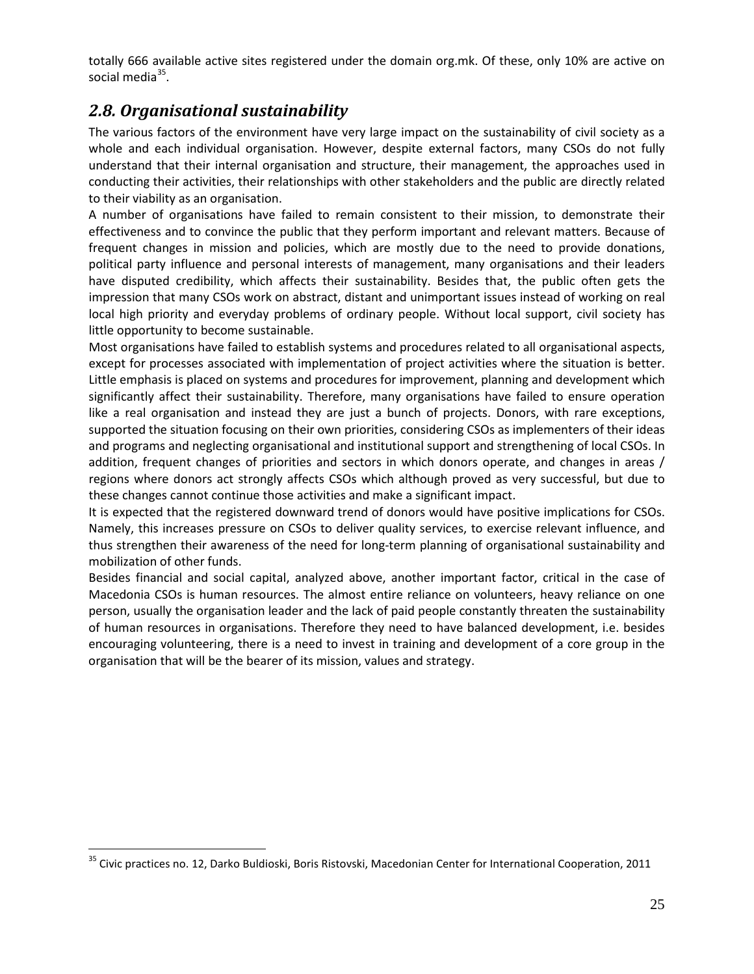totally 666 available active sites registered under the domain org.mk. Of these, only 10% are active on social media $35$ .

# <span id="page-25-0"></span>*2.8. Organisational sustainability*

 $\overline{a}$ 

The various factors of the environment have very large impact on the sustainability of civil society as a whole and each individual organisation. However, despite external factors, many CSOs do not fully understand that their internal organisation and structure, their management, the approaches used in conducting their activities, their relationships with other stakeholders and the public are directly related to their viability as an organisation.

A number of organisations have failed to remain consistent to their mission, to demonstrate their effectiveness and to convince the public that they perform important and relevant matters. Because of frequent changes in mission and policies, which are mostly due to the need to provide donations, political party influence and personal interests of management, many organisations and their leaders have disputed credibility, which affects their sustainability. Besides that, the public often gets the impression that many CSOs work on abstract, distant and unimportant issues instead of working on real local high priority and everyday problems of ordinary people. Without local support, civil society has little opportunity to become sustainable.

Most organisations have failed to establish systems and procedures related to all organisational aspects, except for processes associated with implementation of project activities where the situation is better. Little emphasis is placed on systems and procedures for improvement, planning and development which significantly affect their sustainability. Therefore, many organisations have failed to ensure operation like a real organisation and instead they are just a bunch of projects. Donors, with rare exceptions, supported the situation focusing on their own priorities, considering CSOs as implementers of their ideas and programs and neglecting organisational and institutional support and strengthening of local CSOs. In addition, frequent changes of priorities and sectors in which donors operate, and changes in areas / regions where donors act strongly affects CSOs which although proved as very successful, but due to these changes cannot continue those activities and make a significant impact.

It is expected that the registered downward trend of donors would have positive implications for CSOs. Namely, this increases pressure on CSOs to deliver quality services, to exercise relevant influence, and thus strengthen their awareness of the need for long-term planning of organisational sustainability and mobilization of other funds.

Besides financial and social capital, analyzed above, another important factor, critical in the case of Macedonia CSOs is human resources. The almost entire reliance on volunteers, heavy reliance on one person, usually the organisation leader and the lack of paid people constantly threaten the sustainability of human resources in organisations. Therefore they need to have balanced development, i.e. besides encouraging volunteering, there is a need to invest in training and development of a core group in the organisation that will be the bearer of its mission, values and strategy.

<span id="page-25-1"></span><sup>&</sup>lt;sup>35</sup> Civic practices no. 12, Darko Buldioski, Boris Ristovski, Macedonian Center for International Cooperation, 2011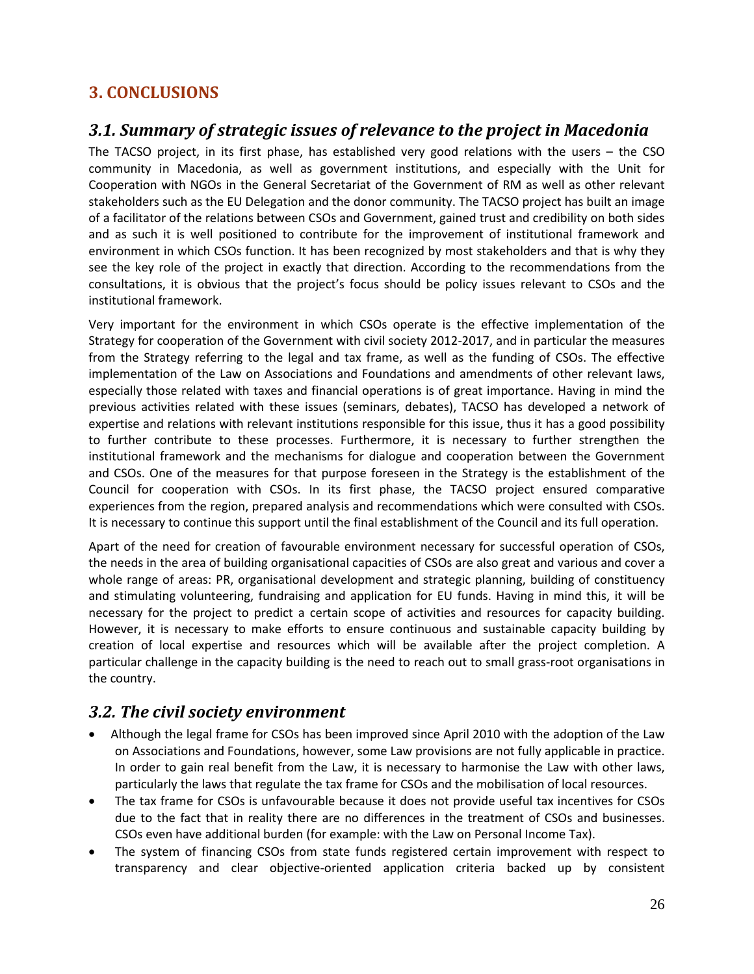# <span id="page-26-0"></span>**3. CONCLUSIONS**

# <span id="page-26-1"></span>*3.1. Summary of strategic issues of relevance to the project in Macedonia*

The TACSO project, in its first phase, has established very good relations with the users – the CSO community in Macedonia, as well as government institutions, and especially with the Unit for Cooperation with NGOs in the General Secretariat of the Government of RM as well as other relevant stakeholders such as the EU Delegation and the donor community. The TACSO project has built an image of a facilitator of the relations between CSOs and Government, gained trust and credibility on both sides and as such it is well positioned to contribute for the improvement of institutional framework and environment in which CSOs function. It has been recognized by most stakeholders and that is why they see the key role of the project in exactly that direction. According to the recommendations from the consultations, it is obvious that the project's focus should be policy issues relevant to CSOs and the institutional framework.

Very important for the environment in which CSOs operate is the effective implementation of the Strategy for cooperation of the Government with civil society 2012-2017, and in particular the measures from the Strategy referring to the legal and tax frame, as well as the funding of CSOs. The effective implementation of the Law on Associations and Foundations and amendments of other relevant laws, especially those related with taxes and financial operations is of great importance. Having in mind the previous activities related with these issues (seminars, debates), TACSO has developed a network of expertise and relations with relevant institutions responsible for this issue, thus it has a good possibility to further contribute to these processes. Furthermore, it is necessary to further strengthen the institutional framework and the mechanisms for dialogue and cooperation between the Government and CSOs. One of the measures for that purpose foreseen in the Strategy is the establishment of the Council for cooperation with CSOs. In its first phase, the TACSO project ensured comparative experiences from the region, prepared analysis and recommendations which were consulted with CSOs. It is necessary to continue this support until the final establishment of the Council and its full operation.

Apart of the need for creation of favourable environment necessary for successful operation of CSOs, the needs in the area of building organisational capacities of CSOs are also great and various and cover a whole range of areas: PR, organisational development and strategic planning, building of constituency and stimulating volunteering, fundraising and application for EU funds. Having in mind this, it will be necessary for the project to predict a certain scope of activities and resources for capacity building. However, it is necessary to make efforts to ensure continuous and sustainable capacity building by creation of local expertise and resources which will be available after the project completion. A particular challenge in the capacity building is the need to reach out to small grass-root organisations in the country.

# <span id="page-26-2"></span>*3.2. The civil society environment*

- Although the legal frame for CSOs has been improved since April 2010 with the adoption of the Law on Associations and Foundations, however, some Law provisions are not fully applicable in practice. In order to gain real benefit from the Law, it is necessary to harmonise the Law with other laws, particularly the laws that regulate the tax frame for CSOs and the mobilisation of local resources.
- The tax frame for CSOs is unfavourable because it does not provide useful tax incentives for CSOs due to the fact that in reality there are no differences in the treatment of CSOs and businesses. CSOs even have additional burden (for example: with the Law on Personal Income Tax).
- The system of financing CSOs from state funds registered certain improvement with respect to transparency and clear objective-oriented application criteria backed up by consistent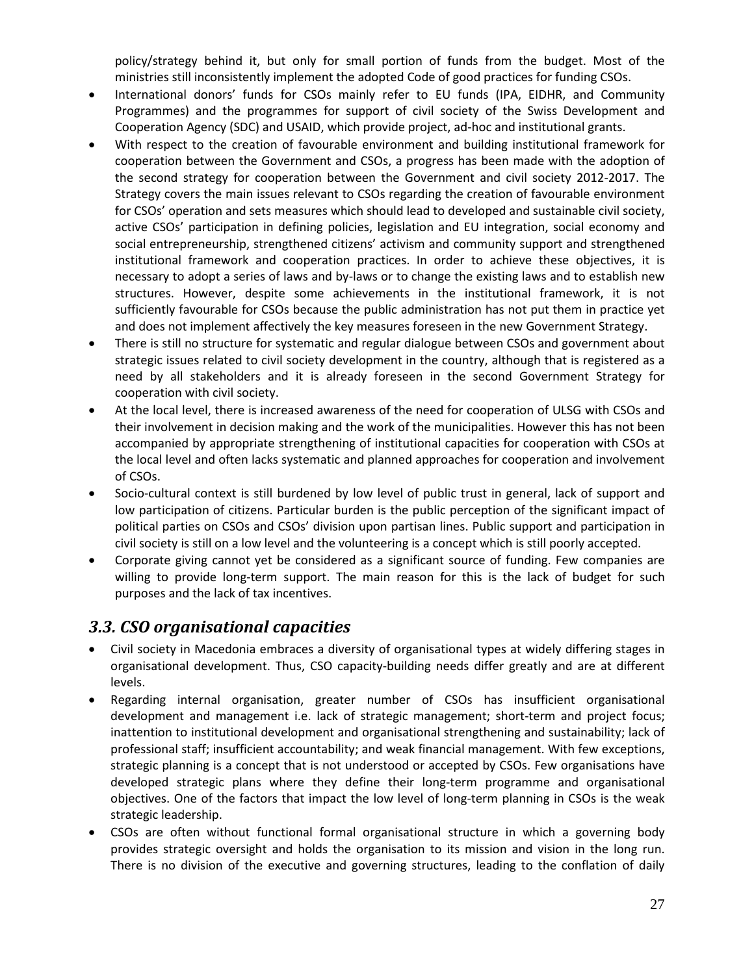policy/strategy behind it, but only for small portion of funds from the budget. Most of the ministries still inconsistently implement the adopted Code of good practices for funding CSOs.

- International donors' funds for CSOs mainly refer to EU funds (IPA, EIDHR, and Community Programmes) and the programmes for support of civil society of the Swiss Development and Cooperation Agency (SDC) and USAID, which provide project, ad-hoc and institutional grants.
- With respect to the creation of favourable environment and building institutional framework for cooperation between the Government and CSOs, a progress has been made with the adoption of the second strategy for cooperation between the Government and civil society 2012-2017. The Strategy covers the main issues relevant to CSOs regarding the creation of favourable environment for CSOs' operation and sets measures which should lead to developed and sustainable civil society, active CSOs' participation in defining policies, legislation and EU integration, social economy and social entrepreneurship, strengthened citizens' activism and community support and strengthened institutional framework and cooperation practices. In order to achieve these objectives, it is necessary to adopt a series of laws and by-laws or to change the existing laws and to establish new structures. However, despite some achievements in the institutional framework, it is not sufficiently favourable for CSOs because the public administration has not put them in practice yet and does not implement affectively the key measures foreseen in the new Government Strategy.
- There is still no structure for systematic and regular dialogue between CSOs and government about strategic issues related to civil society development in the country, although that is registered as a need by all stakeholders and it is already foreseen in the second Government Strategy for cooperation with civil society.
- At the local level, there is increased awareness of the need for cooperation of ULSG with CSOs and their involvement in decision making and the work of the municipalities. However this has not been accompanied by appropriate strengthening of institutional capacities for cooperation with CSOs at the local level and often lacks systematic and planned approaches for cooperation and involvement of CSOs.
- Socio-cultural context is still burdened by low level of public trust in general, lack of support and low participation of citizens. Particular burden is the public perception of the significant impact of political parties on CSOs and CSOs' division upon partisan lines. Public support and participation in civil society is still on a low level and the volunteering is a concept which is still poorly accepted.
- Corporate giving cannot yet be considered as a significant source of funding. Few companies are willing to provide long-term support. The main reason for this is the lack of budget for such purposes and the lack of tax incentives.

# <span id="page-27-0"></span>*3.3. CSO organisational capacities*

- Civil society in Macedonia embraces a diversity of organisational types at widely differing stages in organisational development. Thus, CSO capacity-building needs differ greatly and are at different levels.
- Regarding internal organisation, greater number of CSOs has insufficient organisational development and management i.e. lack of strategic management; short-term and project focus; inattention to institutional development and organisational strengthening and sustainability; lack of professional staff; insufficient accountability; and weak financial management. With few exceptions, strategic planning is a concept that is not understood or accepted by CSOs. Few organisations have developed strategic plans where they define their long-term programme and organisational objectives. One of the factors that impact the low level of long-term planning in CSOs is the weak strategic leadership.
- CSOs are often without functional formal organisational structure in which a governing body provides strategic oversight and holds the organisation to its mission and vision in the long run. There is no division of the executive and governing structures, leading to the conflation of daily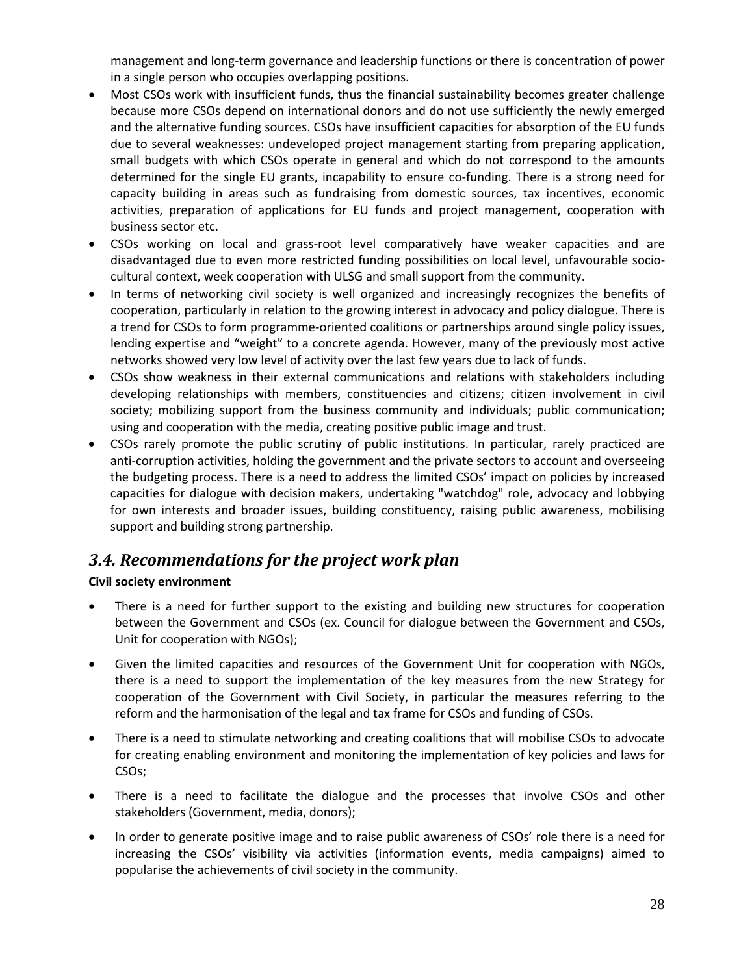management and long-term governance and leadership functions or there is concentration of power in a single person who occupies overlapping positions.

- Most CSOs work with insufficient funds, thus the financial sustainability becomes greater challenge because more CSOs depend on international donors and do not use sufficiently the newly emerged and the alternative funding sources. CSOs have insufficient capacities for absorption of the EU funds due to several weaknesses: undeveloped project management starting from preparing application, small budgets with which CSOs operate in general and which do not correspond to the amounts determined for the single EU grants, incapability to ensure co-funding. There is a strong need for capacity building in areas such as fundraising from domestic sources, tax incentives, economic activities, preparation of applications for EU funds and project management, cooperation with business sector etc.
- CSOs working on local and grass-root level comparatively have weaker capacities and are disadvantaged due to even more restricted funding possibilities on local level, unfavourable sociocultural context, week cooperation with ULSG and small support from the community.
- In terms of networking civil society is well organized and increasingly recognizes the benefits of cooperation, particularly in relation to the growing interest in advocacy and policy dialogue. There is a trend for CSOs to form programme-oriented coalitions or partnerships around single policy issues, lending expertise and "weight" to a concrete agenda. However, many of the previously most active networks showed very low level of activity over the last few years due to lack of funds.
- CSOs show weakness in their external communications and relations with stakeholders including developing relationships with members, constituencies and citizens; citizen involvement in civil society; mobilizing support from the business community and individuals; public communication; using and cooperation with the media, creating positive public image and trust.
- CSOs rarely promote the public scrutiny of public institutions. In particular, rarely practiced are anti-corruption activities, holding the government and the private sectors to account and overseeing the budgeting process. There is a need to address the limited CSOs' impact on policies by increased capacities for dialogue with decision makers, undertaking "watchdog" role, advocacy and lobbying for own interests and broader issues, building constituency, raising public awareness, mobilising support and building strong partnership.

# <span id="page-28-0"></span>*3.4. Recommendations for the project work plan*

# **Civil society environment**

- There is a need for further support to the existing and building new structures for cooperation between the Government and CSOs (ex. Council for dialogue between the Government and CSOs, Unit for cooperation with NGOs);
- Given the limited capacities and resources of the Government Unit for cooperation with NGOs, there is a need to support the implementation of the key measures from the new Strategy for cooperation of the Government with Civil Society, in particular the measures referring to the reform and the harmonisation of the legal and tax frame for CSOs and funding of CSOs.
- There is a need to stimulate networking and creating coalitions that will mobilise CSOs to advocate for creating enabling environment and monitoring the implementation of key policies and laws for CSOs;
- There is a need to facilitate the dialogue and the processes that involve CSOs and other stakeholders (Government, media, donors);
- In order to generate positive image and to raise public awareness of CSOs' role there is a need for increasing the CSOs' visibility via activities (information events, media campaigns) aimed to popularise the achievements of civil society in the community.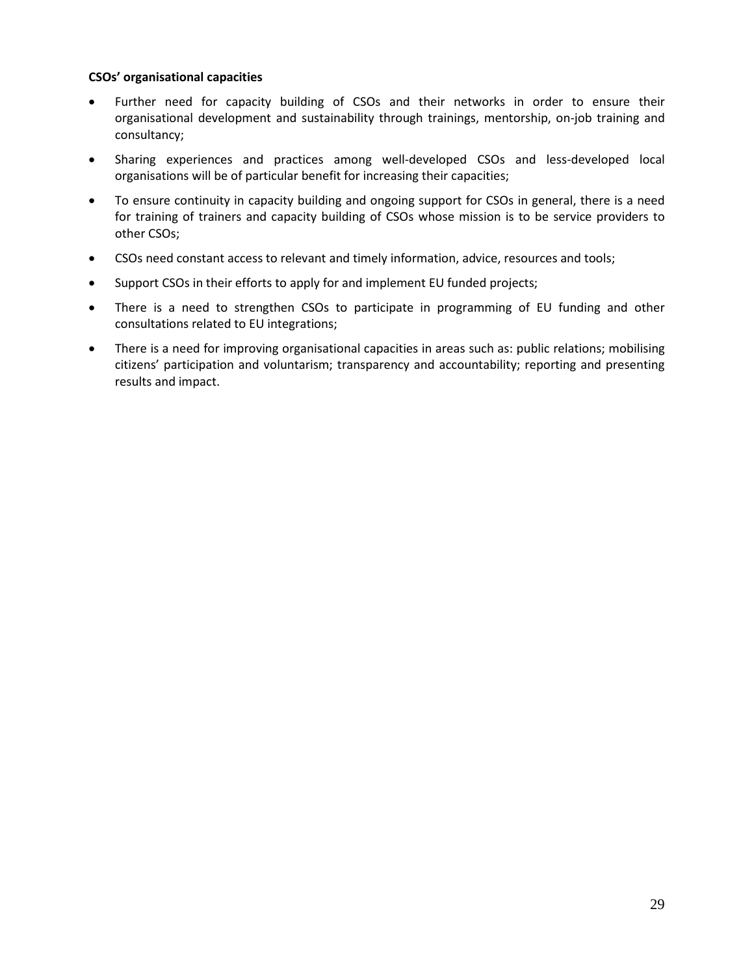#### **CSOs' organisational capacities**

- Further need for capacity building of CSOs and their networks in order to ensure their organisational development and sustainability through trainings, mentorship, on-job training and consultancy;
- Sharing experiences and practices among well-developed CSOs and less-developed local organisations will be of particular benefit for increasing their capacities;
- To ensure continuity in capacity building and ongoing support for CSOs in general, there is a need for training of trainers and capacity building of CSOs whose mission is to be service providers to other CSOs;
- CSOs need constant access to relevant and timely information, advice, resources and tools;
- Support CSOs in their efforts to apply for and implement EU funded projects;
- There is a need to strengthen CSOs to participate in programming of EU funding and other consultations related to EU integrations;
- There is a need for improving organisational capacities in areas such as: public relations; mobilising citizens' participation and voluntarism; transparency and accountability; reporting and presenting results and impact.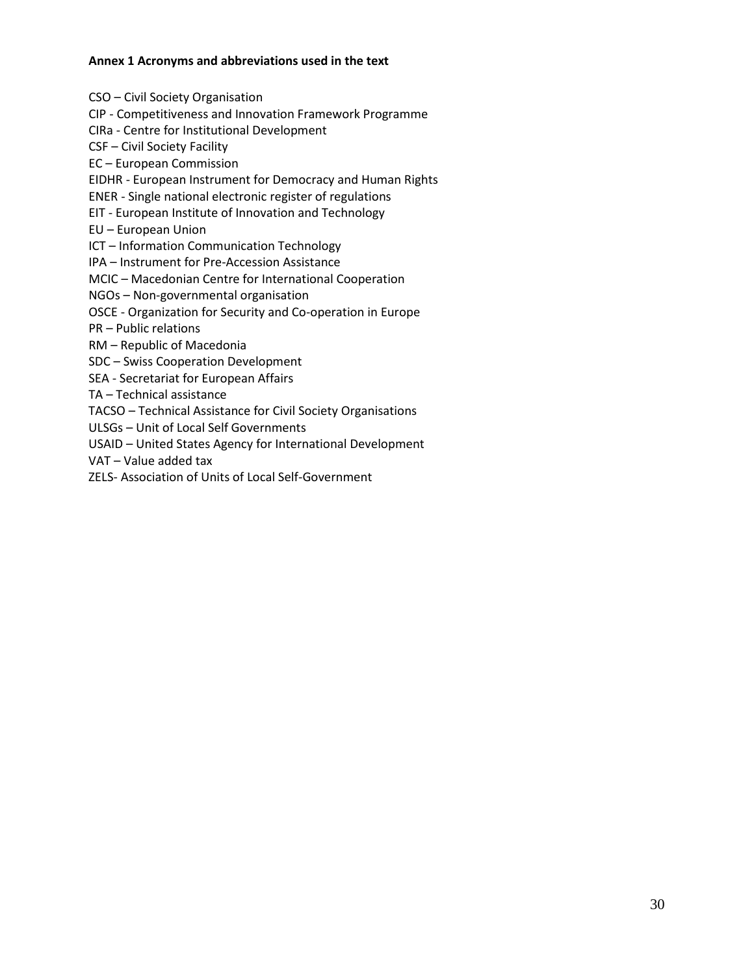#### **Annex 1 Acronyms and abbreviations used in the text**

CSO – Civil Society Organisation CIP - Competitiveness and Innovation Framework Programme

CIRa - Centre for Institutional Development

CSF – Civil Society Facility

EC – European Commission

EIDHR - European Instrument for Democracy and Human Rights

ENER - Single national electronic register of regulations

EIT - European Institute of Innovation and Technology

EU – European Union

ICT – Information Communication Technology

IPA – Instrument for Pre-Accession Assistance

MCIC – Macedonian Centre for International Cooperation

NGOs – Non-governmental organisation

OSCE - Organization for Security and Co-operation in Europe

PR – Public relations

RM – Republic of Macedonia

SDC – Swiss Cooperation Development

SEA - Secretariat for European Affairs

TA – Technical assistance

TACSO – Technical Assistance for Civil Society Organisations

ULSGs – Unit of Local Self Governments

USAID – United States Agency for International Development

VAT – Value added tax

ZELS- Association of Units of Local Self-Government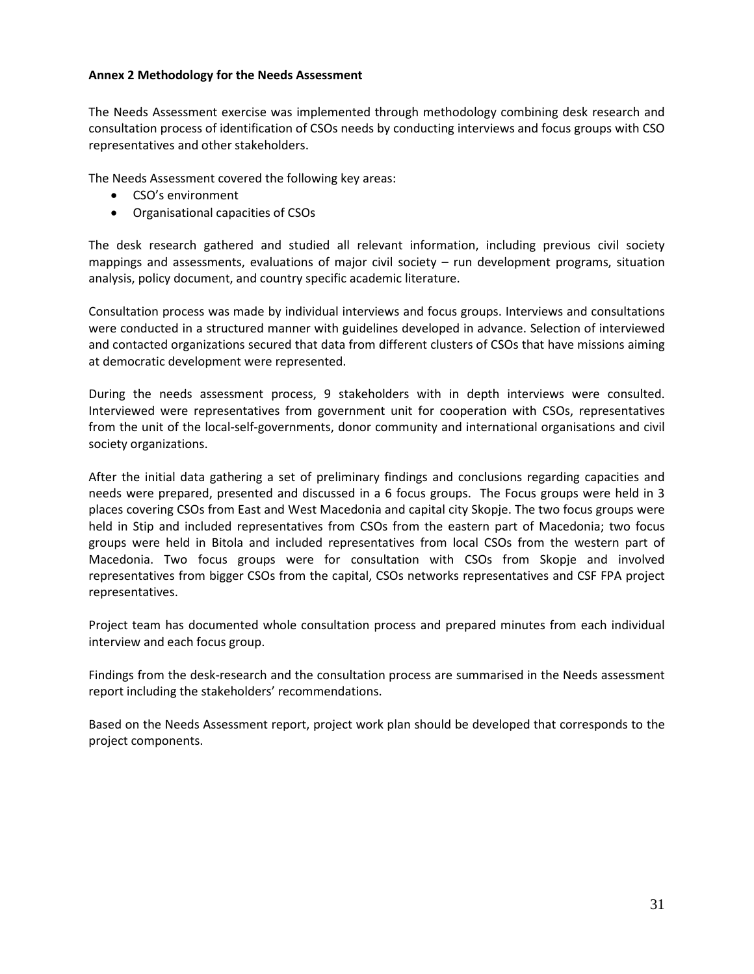#### **Annex 2 Methodology for the Needs Assessment**

The Needs Assessment exercise was implemented through methodology combining desk research and consultation process of identification of CSOs needs by conducting interviews and focus groups with CSO representatives and other stakeholders.

The Needs Assessment covered the following key areas:

- CSO's environment
- Organisational capacities of CSOs

The desk research gathered and studied all relevant information, including previous civil society mappings and assessments, evaluations of major civil society – run development programs, situation analysis, policy document, and country specific academic literature.

Consultation process was made by individual interviews and focus groups. Interviews and consultations were conducted in a structured manner with guidelines developed in advance. Selection of interviewed and contacted organizations secured that data from different clusters of CSOs that have missions aiming at democratic development were represented.

During the needs assessment process, 9 stakeholders with in depth interviews were consulted. Interviewed were representatives from government unit for cooperation with CSOs, representatives from the unit of the local-self-governments, donor community and international organisations and civil society organizations.

After the initial data gathering a set of preliminary findings and conclusions regarding capacities and needs were prepared, presented and discussed in a 6 focus groups. The Focus groups were held in 3 places covering CSOs from East and West Macedonia and capital city Skopje. The two focus groups were held in Stip and included representatives from CSOs from the eastern part of Macedonia; two focus groups were held in Bitola and included representatives from local CSOs from the western part of Macedonia. Two focus groups were for consultation with CSOs from Skopje and involved representatives from bigger CSOs from the capital, CSOs networks representatives and CSF FPA project representatives.

Project team has documented whole consultation process and prepared minutes from each individual interview and each focus group.

Findings from the desk-research and the consultation process are summarised in the Needs assessment report including the stakeholders' recommendations.

Based on the Needs Assessment report, project work plan should be developed that corresponds to the project components.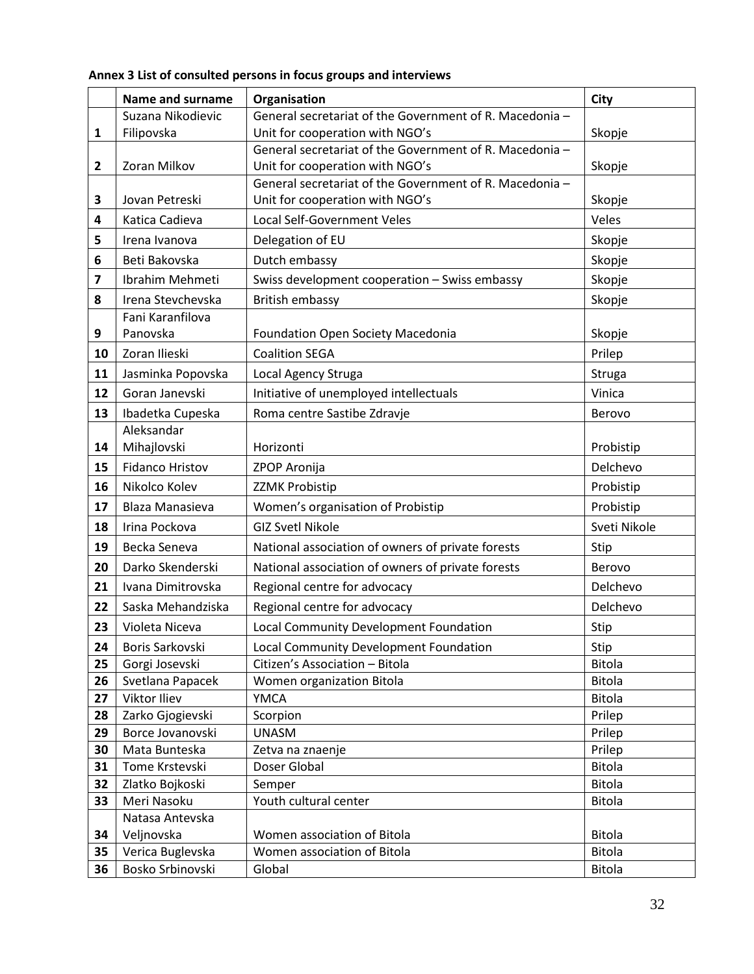# **Annex 3 List of consulted persons in focus groups and interviews**

|          | <b>Name and surname</b>           | Organisation                                                                               | <b>City</b>                    |
|----------|-----------------------------------|--------------------------------------------------------------------------------------------|--------------------------------|
|          | Suzana Nikodievic                 | General secretariat of the Government of R. Macedonia -                                    |                                |
| 1        | Filipovska                        | Unit for cooperation with NGO's                                                            | Skopje                         |
|          |                                   | General secretariat of the Government of R. Macedonia -                                    |                                |
| 2        | Zoran Milkov                      | Unit for cooperation with NGO's                                                            | Skopje                         |
| 3        | Jovan Petreski                    | General secretariat of the Government of R. Macedonia -<br>Unit for cooperation with NGO's | Skopje                         |
| 4        | Katica Cadieva                    | <b>Local Self-Government Veles</b>                                                         | Veles                          |
|          |                                   |                                                                                            |                                |
| 5        | Irena Ivanova                     | Delegation of EU                                                                           | Skopje                         |
| 6        | Beti Bakovska                     | Dutch embassy                                                                              | Skopje                         |
| 7        | Ibrahim Mehmeti                   | Swiss development cooperation - Swiss embassy                                              | Skopje                         |
| 8        | Irena Stevchevska                 | <b>British embassy</b>                                                                     | Skopje                         |
|          | Fani Karanfilova                  |                                                                                            |                                |
| 9        | Panovska                          | Foundation Open Society Macedonia                                                          | Skopje                         |
| 10       | Zoran Ilieski                     | <b>Coalition SEGA</b>                                                                      | Prilep                         |
| 11       | Jasminka Popovska                 | Local Agency Struga                                                                        | Struga                         |
| 12       | Goran Janevski                    | Initiative of unemployed intellectuals                                                     | Vinica                         |
| 13       | Ibadetka Cupeska                  | Roma centre Sastibe Zdravje                                                                | Berovo                         |
|          | Aleksandar                        |                                                                                            |                                |
| 14       | Mihajlovski                       | Horizonti                                                                                  | Probistip                      |
| 15       | <b>Fidanco Hristov</b>            | ZPOP Aronija                                                                               | Delchevo                       |
| 16       | Nikolco Kolev                     | <b>ZZMK Probistip</b>                                                                      | Probistip                      |
| 17       | Blaza Manasieva                   | Women's organisation of Probistip                                                          | Probistip                      |
| 18       | Irina Pockova                     | <b>GIZ Svetl Nikole</b>                                                                    | Sveti Nikole                   |
| 19       | Becka Seneva                      | National association of owners of private forests                                          | Stip                           |
| 20       | Darko Skenderski                  | National association of owners of private forests                                          | Berovo                         |
| 21       | Ivana Dimitrovska                 | Regional centre for advocacy                                                               | Delchevo                       |
| 22       | Saska Mehandziska                 | Regional centre for advocacy                                                               | Delchevo                       |
| 23       | Violeta Niceva                    | Local Community Development Foundation                                                     | Stip                           |
| 24       | Boris Sarkovski                   | Local Community Development Foundation                                                     | Stip                           |
| 25       | Gorgi Josevski                    | Citizen's Association - Bitola                                                             | <b>Bitola</b>                  |
| 26       | Svetlana Papacek                  | Women organization Bitola                                                                  | <b>Bitola</b>                  |
| 27       | Viktor Iliev                      | <b>YMCA</b>                                                                                | <b>Bitola</b>                  |
| 28       | Zarko Gjogievski                  | Scorpion                                                                                   | Prilep                         |
| 29       | Borce Jovanovski                  | <b>UNASM</b>                                                                               | Prilep                         |
| 30       | Mata Bunteska                     | Zetva na znaenje                                                                           | Prilep                         |
| 31<br>32 | Tome Krstevski<br>Zlatko Bojkoski | Doser Global<br>Semper                                                                     | <b>Bitola</b><br><b>Bitola</b> |
| 33       | Meri Nasoku                       | Youth cultural center                                                                      | <b>Bitola</b>                  |
|          | Natasa Antevska                   |                                                                                            |                                |
| 34       | Veljnovska                        | Women association of Bitola                                                                | <b>Bitola</b>                  |
| 35       | Verica Buglevska                  | Women association of Bitola                                                                | <b>Bitola</b>                  |
| 36       | Bosko Srbinovski                  | Global                                                                                     | <b>Bitola</b>                  |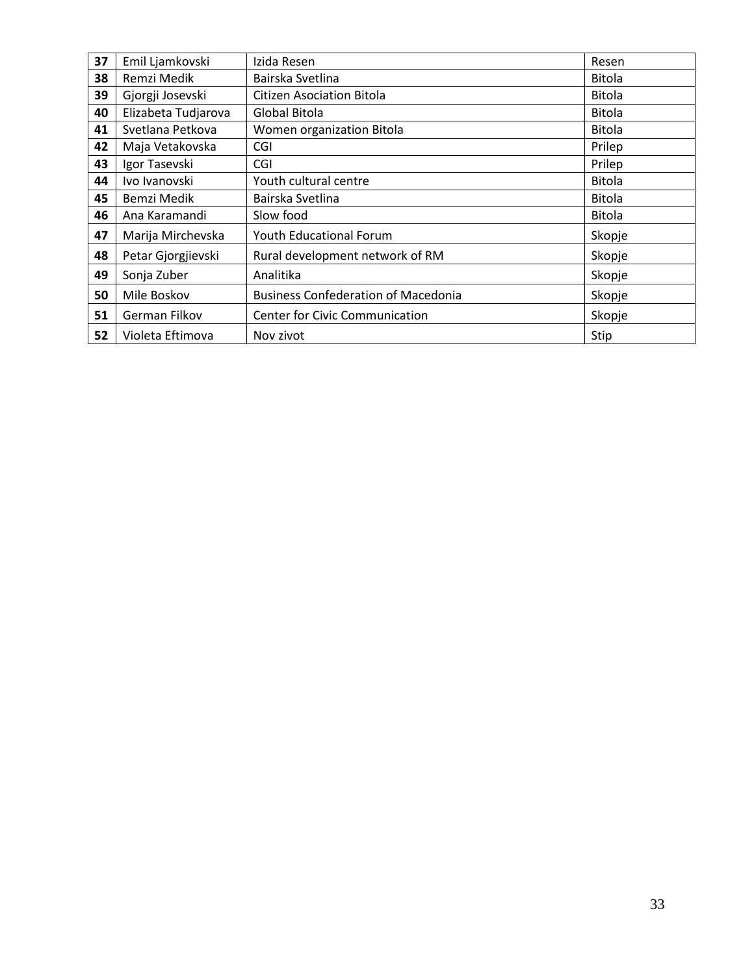| 37 | Emil Ljamkovski     | Izida Resen                                | Resen         |
|----|---------------------|--------------------------------------------|---------------|
| 38 | Remzi Medik         | Bairska Svetlina                           | <b>Bitola</b> |
| 39 | Gjorgji Josevski    | <b>Citizen Asociation Bitola</b>           | <b>Bitola</b> |
| 40 | Elizabeta Tudjarova | Global Bitola                              | <b>Bitola</b> |
| 41 | Svetlana Petkova    | Women organization Bitola                  | <b>Bitola</b> |
| 42 | Maja Vetakovska     | CGI                                        | Prilep        |
| 43 | Igor Tasevski       | CGI                                        | Prilep        |
| 44 | Ivo Ivanovski       | Youth cultural centre                      | <b>Bitola</b> |
| 45 | Bemzi Medik         | Bairska Svetlina                           | <b>Bitola</b> |
| 46 | Ana Karamandi       | Slow food                                  | Bitola        |
| 47 | Marija Mirchevska   | Youth Educational Forum                    | Skopje        |
| 48 | Petar Gjorgjievski  | Rural development network of RM            | Skopje        |
| 49 | Sonja Zuber         | Analitika                                  | Skopje        |
| 50 | Mile Boskov         | <b>Business Confederation of Macedonia</b> | Skopje        |
| 51 | German Filkov       | <b>Center for Civic Communication</b>      | Skopje        |
| 52 | Violeta Eftimova    | Nov zivot                                  | Stip          |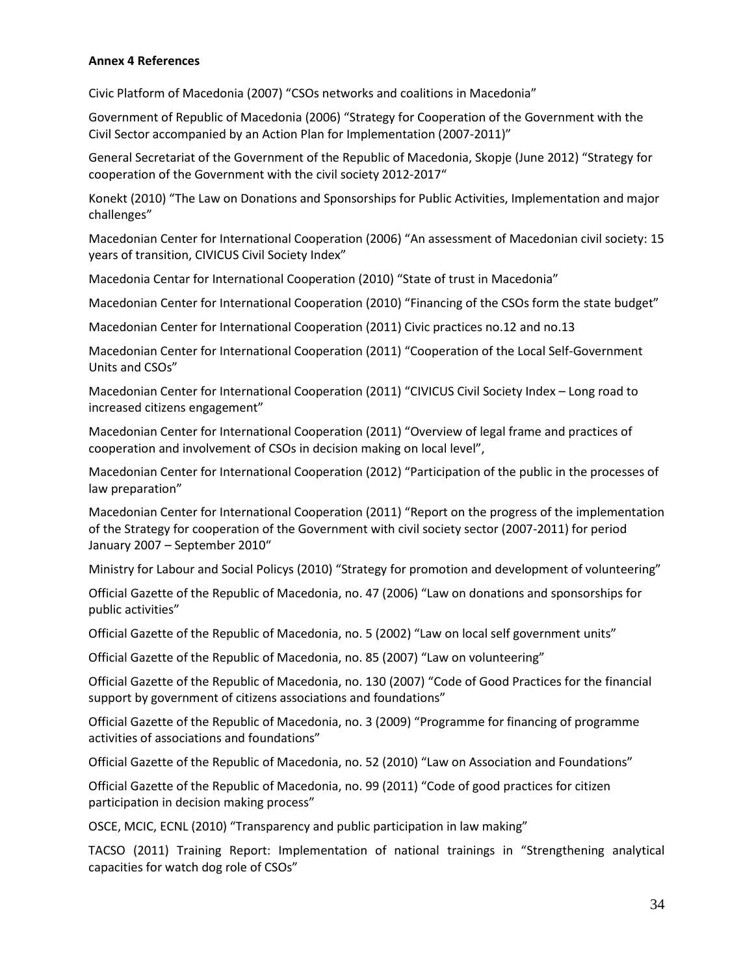#### **Annex 4 References**

Civic Platform of Macedonia (2007) "CSOs networks and coalitions in Macedonia"

Government of Republic of Macedonia (2006) "Strategy for Cooperation of the Government with the Civil Sector accompanied by an Action Plan for Implementation (2007-2011)"

General Secretariat of the Government of the Republic of Macedonia, Skopje (June 2012) "Strategy for cooperation of the Government with the civil society 2012-2017"

Konekt (2010) "The Law on Donations and Sponsorships for Public Activities, Implementation and major challenges"

Macedonian Center for International Cooperation (2006) "An assessment of Macedonian civil society: 15 years of transition, CIVICUS Civil Society Index"

Macedonia Centar for International Cooperation (2010) "State of trust in Macedonia"

Macedonian Center for International Cooperation (2010) "Financing of the CSOs form the state budget"

Macedonian Center for International Cooperation (2011) Civic practices no.12 and no.13

Macedonian Center for International Cooperation (2011) "Cooperation of the Local Self-Government Units and CSOs"

Macedonian Center for International Cooperation (2011) "CIVICUS Civil Society Index – Long road to increased citizens engagement"

Macedonian Center for International Cooperation (2011) "Overview of legal frame and practices of cooperation and involvement of CSOs in decision making on local level",

Macedonian Center for International Cooperation (2012) "Participation of the public in the processes of law preparation"

Macedonian Center for International Cooperation (2011) "Report on the progress of the implementation of the Strategy for cooperation of the Government with civil society sector (2007-2011) for period January 2007 – September 2010"

Ministry for Labour and Social Policys (2010) "Strategy for promotion and development of volunteering"

Official Gazette of the Republic of Macedonia, no. 47 (2006) "Law on donations and sponsorships for public activities"

Official Gazette of the Republic of Macedonia, no. 5 (2002) "Law on local self government units"

Official Gazette of the Republic of Macedonia, no. 85 (2007) "Law on volunteering"

Official Gazette of the Republic of Macedonia, no. 130 (2007) "Code of Good Practices for the financial support by government of citizens associations and foundations"

Official Gazette of the Republic of Macedonia, no. 3 (2009) "Programme for financing of programme activities of associations and foundations"

Official Gazette of the Republic of Macedonia, no. 52 (2010) "Law on Association and Foundations"

Official Gazette of the Republic of Macedonia, no. 99 (2011) "Code of good practices for citizen participation in decision making process"

OSCE, MCIC, ECNL (2010) "Transparency and public participation in law making"

TACSO (2011) Training Report: Implementation of national trainings in "Strengthening analytical capacities for watch dog role of CSOs"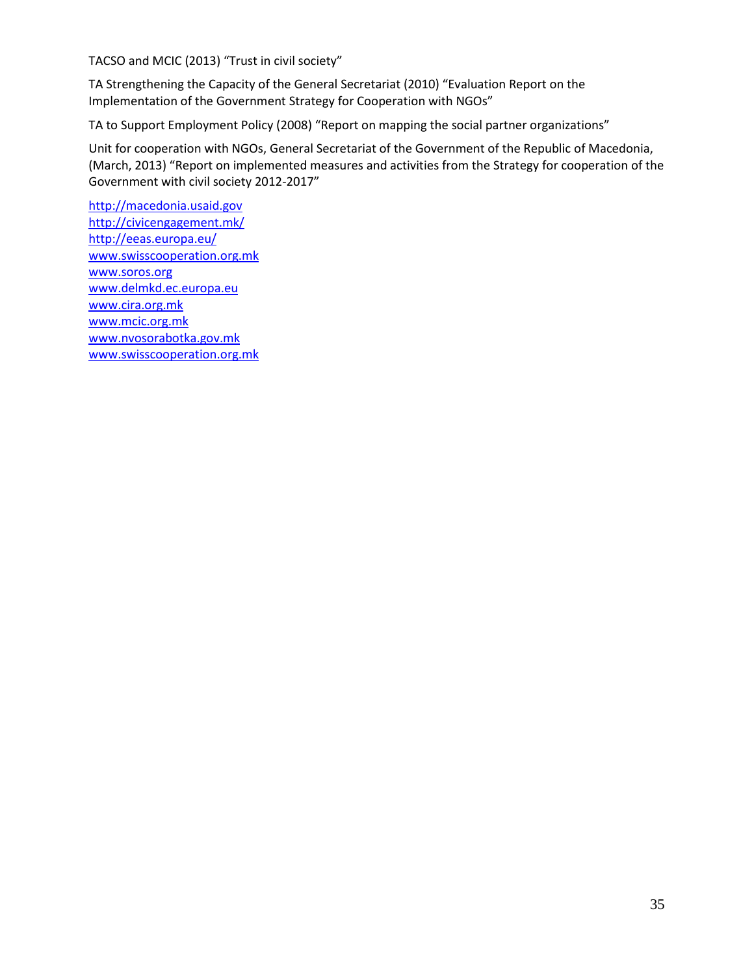TACSO and MCIC (2013) "Trust in civil society"

TA Strengthening the Capacity of the General Secretariat (2010) "Evaluation Report on the Implementation of the Government Strategy for Cooperation with NGOs"

TA to Support Employment Policy (2008) "Report on mapping the social partner organizations"

Unit for cooperation with NGOs, General Secretariat of the Government of the Republic of Macedonia, (March, 2013) "Report on implemented measures and activities from the Strategy for cooperation of the Government with civil society 2012-2017"

[http://macedonia.usaid.gov](http://macedonia.usaid.gov/) <http://civicengagement.mk/> <http://eeas.europa.eu/> [www.swisscooperation.org.mk](http://www.swisscooperation.org.mk/) [www.soros.org](http://www.soros.org/) [www.delmkd.ec.europa.eu](http://www.delmkd.ec.europa.eu/) [www.cira.org.mk](http://www.cira.org.mk/) [www.mcic.org.mk](http://www.mcic.org.mk/) [www.nvosorabotka.gov.mk](http://www.nvosorabotka.gov.mk/) [www.swisscooperation.org.mk](http://www.swisscooperation.org.mk/)